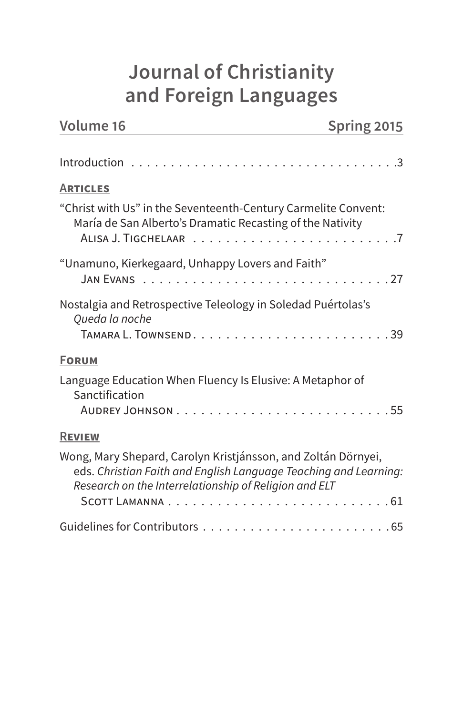# **Journal of Christianity and Foreign Languages**

| <b>Volume 16</b>                                                                                                                                                                           | Spring 2015 |
|--------------------------------------------------------------------------------------------------------------------------------------------------------------------------------------------|-------------|
|                                                                                                                                                                                            |             |
| <b>ARTICLES</b>                                                                                                                                                                            |             |
| "Christ with Us" in the Seventeenth-Century Carmelite Convent:<br>María de San Alberto's Dramatic Recasting of the Nativity                                                                |             |
| "Unamuno, Kierkegaard, Unhappy Lovers and Faith"                                                                                                                                           |             |
| Nostalgia and Retrospective Teleology in Soledad Puértolas's<br>Queda la noche                                                                                                             |             |
| <b>FORUM</b>                                                                                                                                                                               |             |
| Language Education When Fluency Is Elusive: A Metaphor of<br>Sanctification                                                                                                                |             |
| <b>REVIEW</b>                                                                                                                                                                              |             |
| Wong, Mary Shepard, Carolyn Kristjánsson, and Zoltán Dörnyei,<br>eds. Christian Faith and English Language Teaching and Learning:<br>Research on the Interrelationship of Religion and ELT |             |
|                                                                                                                                                                                            |             |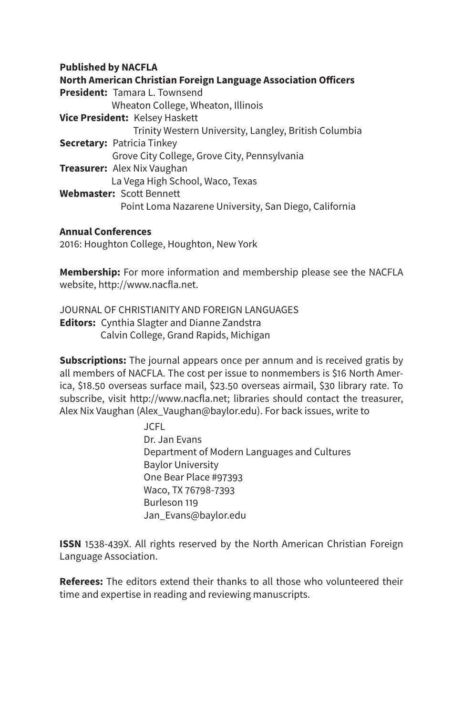#### **Published by NACFLA**

**North American Christian Foreign Language Association Officers President:** Tamara L. Townsend Wheaton College, Wheaton, Illinois **Vice President:** Kelsey Haskett Trinity Western University, Langley, British Columbia **Secretary:** Patricia Tinkey Grove City College, Grove City, Pennsylvania **Treasurer:** Alex Nix Vaughan La Vega High School, Waco, Texas **Webmaster:** Scott Bennett Point Loma Nazarene University, San Diego, California

#### **Annual Conferences**

2016: Houghton College, Houghton, New York

**Membership:** For more information and membership please see the NACFLA website, http://www.nacfla.net.

JOURNAL OF CHRISTIANITY AND FOREIGN LANGUAGES **Editors:** Cynthia Slagter and Dianne Zandstra Calvin College, Grand Rapids, Michigan

**Subscriptions:** The journal appears once per annum and is received gratis by all members of NACFLA. The cost per issue to nonmembers is \$16 North America, \$18.50 overseas surface mail, \$23.50 overseas airmail, \$30 library rate. To subscribe, visit http://www.nacfla.net; libraries should contact the treasurer, Alex Nix Vaughan (Alex\_Vaughan@baylor.edu). For back issues, write to

> JCFL Dr. Jan Evans Department of Modern Languages and Cultures Baylor University One Bear Place #97393 Waco, TX 76798-7393 Burleson 119 Jan\_Evans@baylor.edu

**ISSN** 1538-439X. All rights reserved by the North American Christian Foreign Language Association.

**Referees:** The editors extend their thanks to all those who volunteered their time and expertise in reading and reviewing manuscripts.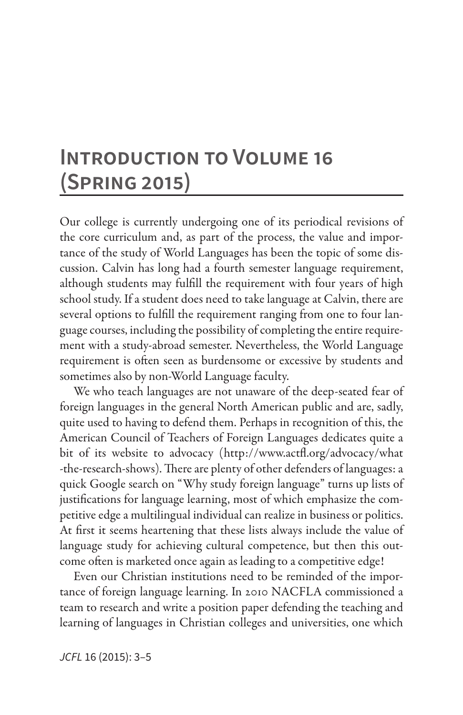# **Introduction to Volume 16 (Spring 2015)**

Our college is currently undergoing one of its periodical revisions of the core curriculum and, as part of the process, the value and importance of the study of World Languages has been the topic of some discussion. Calvin has long had a fourth semester language requirement, although students may fulfill the requirement with four years of high school study. If a student does need to take language at Calvin, there are several options to fulfill the requirement ranging from one to four language courses, including the possibility of completing the entire requirement with a study-abroad semester. Nevertheless, the World Language requirement is often seen as burdensome or excessive by students and sometimes also by non-World Language faculty.

We who teach languages are not unaware of the deep-seated fear of foreign languages in the general North American public and are, sadly, quite used to having to defend them. Perhaps in recognition of this, the American Council of Teachers of Foreign Languages dedicates quite a bit of its website to advocacy (http://www.actfl.org/advocacy/what -the-research-shows). There are plenty of other defenders of languages: a quick Google search on "Why study foreign language" turns up lists of justifications for language learning, most of which emphasize the competitive edge a multilingual individual can realize in business or politics. At first it seems heartening that these lists always include the value of language study for achieving cultural competence, but then this outcome often is marketed once again as leading to a competitive edge!

Even our Christian institutions need to be reminded of the importance of foreign language learning. In 2010 NACFLA commissioned a team to research and write a position paper defending the teaching and learning of languages in Christian colleges and universities, one which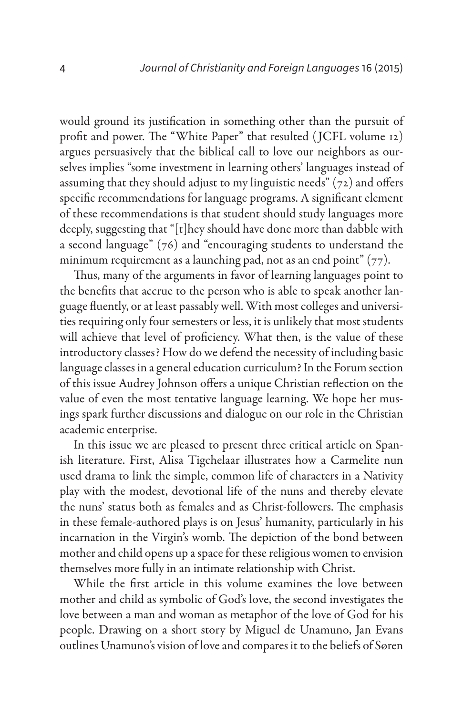would ground its justification in something other than the pursuit of profit and power. The "White Paper" that resulted ( JCFL volume 12) argues persuasively that the biblical call to love our neighbors as ourselves implies "some investment in learning others' languages instead of assuming that they should adjust to my linguistic needs" (72) and offers specific recommendations for language programs. A significant element of these recommendations is that student should study languages more deeply, suggesting that "[t]hey should have done more than dabble with a second language" (76) and "encouraging students to understand the minimum requirement as a launching pad, not as an end point"  $(77)$ .

Thus, many of the arguments in favor of learning languages point to the benefits that accrue to the person who is able to speak another language fluently, or at least passably well. With most colleges and universities requiring only four semesters or less, it is unlikely that most students will achieve that level of proficiency. What then, is the value of these introductory classes? How do we defend the necessity of including basic language classes in a general education curriculum? In the Forum section of this issue Audrey Johnson offers a unique Christian reflection on the value of even the most tentative language learning. We hope her musings spark further discussions and dialogue on our role in the Christian academic enterprise.

In this issue we are pleased to present three critical article on Spanish literature. First, Alisa Tigchelaar illustrates how a Carmelite nun used drama to link the simple, common life of characters in a Nativity play with the modest, devotional life of the nuns and thereby elevate the nuns' status both as females and as Christ-followers. The emphasis in these female-authored plays is on Jesus' humanity, particularly in his incarnation in the Virgin's womb. The depiction of the bond between mother and child opens up a space for these religious women to envision themselves more fully in an intimate relationship with Christ.

While the first article in this volume examines the love between mother and child as symbolic of God's love, the second investigates the love between a man and woman as metaphor of the love of God for his people. Drawing on a short story by Miguel de Unamuno, Jan Evans outlines Unamuno's vision of love and compares it to the beliefs of Søren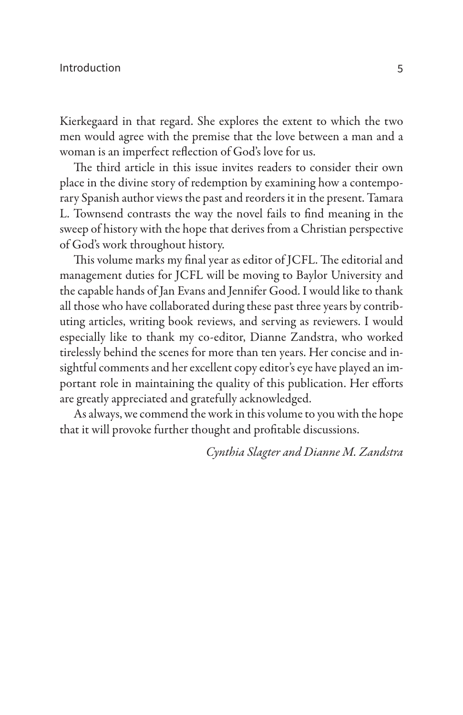Kierkegaard in that regard. She explores the extent to which the two men would agree with the premise that the love between a man and a woman is an imperfect reflection of God's love for us.

The third article in this issue invites readers to consider their own place in the divine story of redemption by examining how a contemporary Spanish author views the past and reorders it in the present. Tamara L. Townsend contrasts the way the novel fails to find meaning in the sweep of history with the hope that derives from a Christian perspective of God's work throughout history.

This volume marks my final year as editor of JCFL. The editorial and management duties for JCFL will be moving to Baylor University and the capable hands of Jan Evans and Jennifer Good. I would like to thank all those who have collaborated during these past three years by contributing articles, writing book reviews, and serving as reviewers. I would especially like to thank my co-editor, Dianne Zandstra, who worked tirelessly behind the scenes for more than ten years. Her concise and insightful comments and her excellent copy editor's eye have played an important role in maintaining the quality of this publication. Her efforts are greatly appreciated and gratefully acknowledged.

As always, we commend the work in this volume to you with the hope that it will provoke further thought and profitable discussions.

*Cynthia Slagter and Dianne M. Zandstra*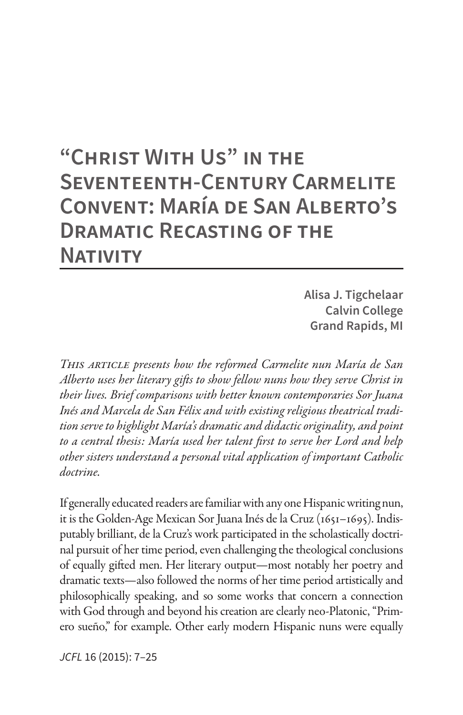# **"Christ With Us" in the Seventeenth-Century Carmelite Convent: María de San Alberto's Dramatic Recasting of the Nativity**

**Alisa J. Tigchelaar Calvin College Grand Rapids, MI**

*This article presents how the reformed Carmelite nun María de San Alberto uses her literary gifts to show fellow nuns how they serve Christ in their lives. Brief comparisons with better known contemporaries Sor Juana Inés and Marcela de San Félix and with existing religious theatrical tradition serve to highlight María's dramatic and didactic originality, and point to a central thesis: María used her talent first to serve her Lord and help other sisters understand a personal vital application of important Catholic doctrine.*

If generally educated readers are familiar with any one Hispanic writing nun, it is the Golden-Age Mexican Sor Juana Inés de la Cruz (1651–1695). Indisputably brilliant, de la Cruz's work participated in the scholastically doctrinal pursuit of her time period, even challenging the theological conclusions of equally gifted men. Her literary output—most notably her poetry and dramatic texts—also followed the norms of her time period artistically and philosophically speaking, and so some works that concern a connection with God through and beyond his creation are clearly neo-Platonic, "Primero sueño," for example. Other early modern Hispanic nuns were equally

*JCFL* 16 (2015): 7–25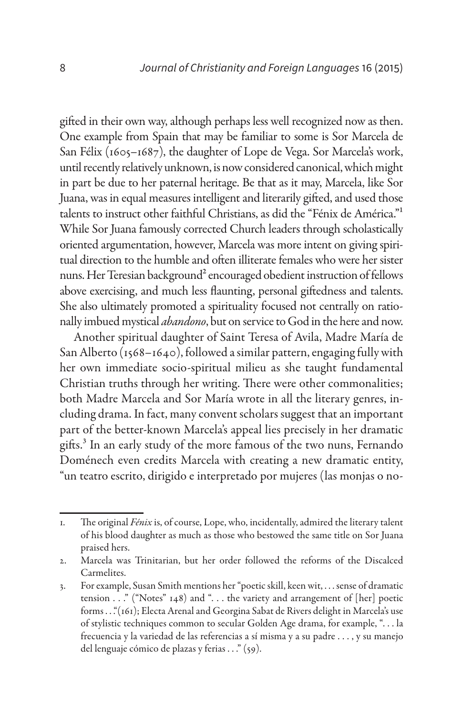gifted in their own way, although perhaps less well recognized now as then. One example from Spain that may be familiar to some is Sor Marcela de San Félix (1605–1687), the daughter of Lope de Vega. Sor Marcela's work, until recently relatively unknown, is now considered canonical, which might in part be due to her paternal heritage. Be that as it may, Marcela, like Sor Juana, was in equal measures intelligent and literarily gifted, and used those talents to instruct other faithful Christians, as did the "Fénix de América."1 While Sor Juana famously corrected Church leaders through scholastically oriented argumentation, however, Marcela was more intent on giving spiritual direction to the humble and often illiterate females who were her sister nuns. Her Teresian background<sup>2</sup> encouraged obedient instruction of fellows above exercising, and much less flaunting, personal giftedness and talents. She also ultimately promoted a spirituality focused not centrally on rationally imbued mystical *abandono*, but on service to God in the here and now.

Another spiritual daughter of Saint Teresa of Avila, Madre María de San Alberto (1568-1640), followed a similar pattern, engaging fully with her own immediate socio-spiritual milieu as she taught fundamental Christian truths through her writing. There were other commonalities; both Madre Marcela and Sor María wrote in all the literary genres, including drama. In fact, many convent scholars suggest that an important part of the better-known Marcela's appeal lies precisely in her dramatic gifts.3 In an early study of the more famous of the two nuns, Fernando Doménech even credits Marcela with creating a new dramatic entity, "un teatro escrito, dirigido e interpretado por mujeres (las monjas o no-

<sup>1.</sup> The original *Fénix* is, of course, Lope, who, incidentally, admired the literary talent of his blood daughter as much as those who bestowed the same title on Sor Juana praised hers.

<sup>2.</sup> Marcela was Trinitarian, but her order followed the reforms of the Discalced Carmelites.

<sup>3.</sup> For example, Susan Smith mentions her "poetic skill, keen wit, . . . sense of dramatic tension  $\ldots$  " ("Notes" 148) and "... the variety and arrangement of [her] poetic forms . . ."(161); Electa Arenal and Georgina Sabat de Rivers delight in Marcela's use of stylistic techniques common to secular Golden Age drama, for example, ". . . la frecuencia y la variedad de las referencias a sí misma y a su padre . . . , y su manejo del lenguaje cómico de plazas y ferias . . ." (59).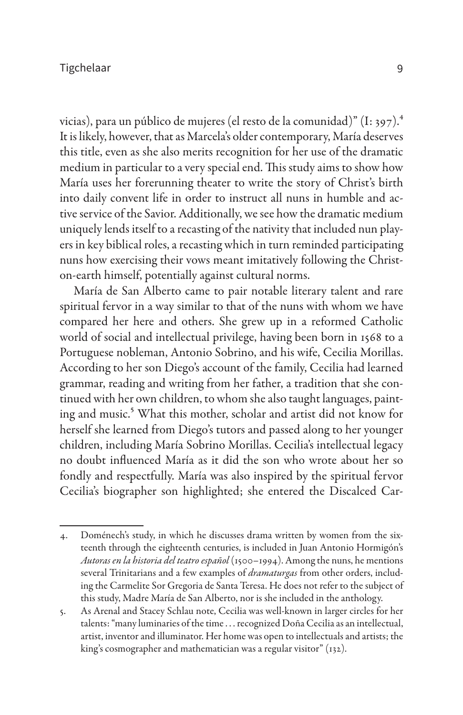vicias), para un público de mujeres (el resto de la comunidad)" (I: 397).<sup>4</sup> It is likely, however, that as Marcela's older contemporary, María deserves this title, even as she also merits recognition for her use of the dramatic medium in particular to a very special end. This study aims to show how María uses her forerunning theater to write the story of Christ's birth into daily convent life in order to instruct all nuns in humble and active service of the Savior. Additionally, we see how the dramatic medium uniquely lends itself to a recasting of the nativity that included nun players in key biblical roles, a recasting which in turn reminded participating nuns how exercising their vows meant imitatively following the Christon-earth himself, potentially against cultural norms.

María de San Alberto came to pair notable literary talent and rare spiritual fervor in a way similar to that of the nuns with whom we have compared her here and others. She grew up in a reformed Catholic world of social and intellectual privilege, having been born in 1568 to a Portuguese nobleman, Antonio Sobrino, and his wife, Cecilia Morillas. According to her son Diego's account of the family, Cecilia had learned grammar, reading and writing from her father, a tradition that she continued with her own children, to whom she also taught languages, painting and music.<sup>5</sup> What this mother, scholar and artist did not know for herself she learned from Diego's tutors and passed along to her younger children, including María Sobrino Morillas. Cecilia's intellectual legacy no doubt influenced María as it did the son who wrote about her so fondly and respectfully. María was also inspired by the spiritual fervor Cecilia's biographer son highlighted; she entered the Discalced Car-

<sup>4.</sup> Doménech's study, in which he discusses drama written by women from the sixteenth through the eighteenth centuries, is included in Juan Antonio Hormigón's *Autoras en la historia del teatro español* (1500–1994). Among the nuns, he mentions several Trinitarians and a few examples of *dramaturgas* from other orders, including the Carmelite Sor Gregoria de Santa Teresa. He does not refer to the subject of this study, Madre María de San Alberto, nor is she included in the anthology.

<sup>5.</sup> As Arenal and Stacey Schlau note, Cecilia was well-known in larger circles for her talents: "many luminaries of the time . . . recognized Doña Cecilia as an intellectual, artist, inventor and illuminator. Her home was open to intellectuals and artists; the king's cosmographer and mathematician was a regular visitor" (132).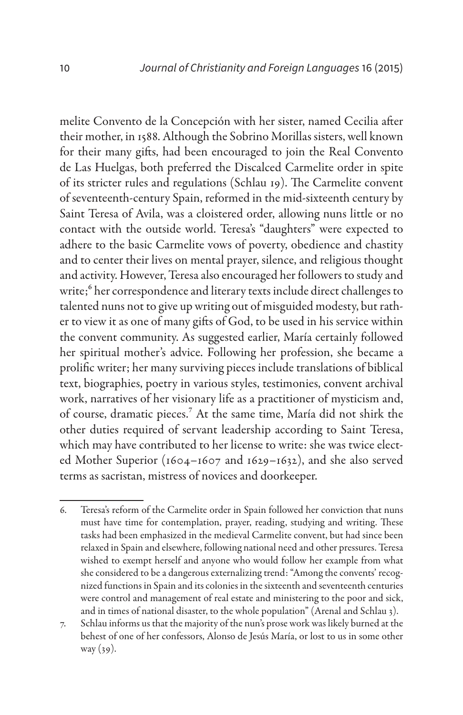melite Convento de la Concepción with her sister, named Cecilia after their mother, in 1588. Although the Sobrino Morillas sisters, well known for their many gifts, had been encouraged to join the Real Convento de Las Huelgas, both preferred the Discalced Carmelite order in spite of its stricter rules and regulations (Schlau 19). The Carmelite convent of seventeenth-century Spain, reformed in the mid-sixteenth century by Saint Teresa of Avila, was a cloistered order, allowing nuns little or no contact with the outside world. Teresa's "daughters" were expected to adhere to the basic Carmelite vows of poverty, obedience and chastity and to center their lives on mental prayer, silence, and religious thought and activity. However, Teresa also encouraged her followers to study and write;<sup>6</sup> her correspondence and literary texts include direct challenges to talented nuns not to give up writing out of misguided modesty, but rather to view it as one of many gifts of God, to be used in his service within the convent community. As suggested earlier, María certainly followed her spiritual mother's advice. Following her profession, she became a prolific writer; her many surviving pieces include translations of biblical text, biographies, poetry in various styles, testimonies, convent archival work, narratives of her visionary life as a practitioner of mysticism and, of course, dramatic pieces.7 At the same time, María did not shirk the other duties required of servant leadership according to Saint Teresa, which may have contributed to her license to write: she was twice elected Mother Superior (1604–1607 and 1629–1632), and she also served terms as sacristan, mistress of novices and doorkeeper.

<sup>6.</sup> Teresa's reform of the Carmelite order in Spain followed her conviction that nuns must have time for contemplation, prayer, reading, studying and writing. These tasks had been emphasized in the medieval Carmelite convent, but had since been relaxed in Spain and elsewhere, following national need and other pressures. Teresa wished to exempt herself and anyone who would follow her example from what she considered to be a dangerous externalizing trend: "Among the convents' recognized functions in Spain and its colonies in the sixteenth and seventeenth centuries were control and management of real estate and ministering to the poor and sick, and in times of national disaster, to the whole population" (Arenal and Schlau 3).

<sup>7.</sup> Schlau informs us that the majority of the nun's prose work was likely burned at the behest of one of her confessors, Alonso de Jesús María, or lost to us in some other way (39).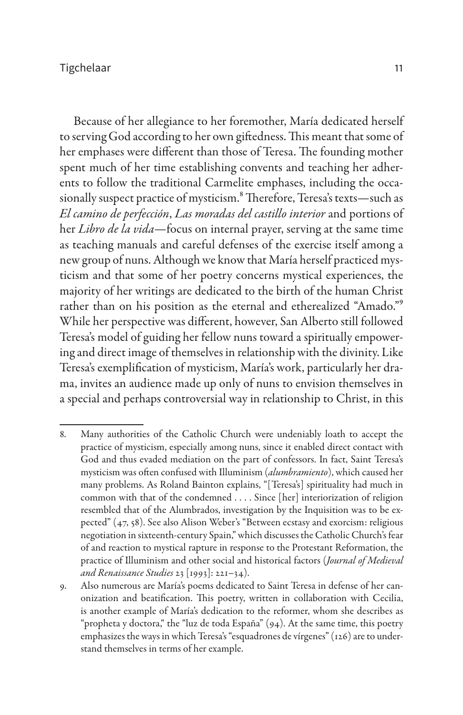Because of her allegiance to her foremother, María dedicated herself to serving God according to her own giftedness. This meant that some of her emphases were different than those of Teresa. The founding mother spent much of her time establishing convents and teaching her adherents to follow the traditional Carmelite emphases, including the occasionally suspect practice of mysticism.<sup>8</sup> Therefore, Teresa's texts-such as *El camino de perfección*, *Las moradas del castillo interior* and portions of her *Libro de la vida*—focus on internal prayer, serving at the same time as teaching manuals and careful defenses of the exercise itself among a new group of nuns. Although we know that María herself practiced mysticism and that some of her poetry concerns mystical experiences, the majority of her writings are dedicated to the birth of the human Christ rather than on his position as the eternal and etherealized "Amado."9 While her perspective was different, however, San Alberto still followed Teresa's model of guiding her fellow nuns toward a spiritually empowering and direct image of themselves in relationship with the divinity. Like Teresa's exemplification of mysticism, María's work, particularly her drama, invites an audience made up only of nuns to envision themselves in a special and perhaps controversial way in relationship to Christ, in this

<sup>8.</sup> Many authorities of the Catholic Church were undeniably loath to accept the practice of mysticism, especially among nuns, since it enabled direct contact with God and thus evaded mediation on the part of confessors. In fact, Saint Teresa's mysticism was often confused with Illuminism (*alumbramiento*), which caused her many problems. As Roland Bainton explains, "[Teresa's] spirituality had much in common with that of the condemned . . . . Since [her] interiorization of religion resembled that of the Alumbrados, investigation by the Inquisition was to be expected" (47, 58). See also Alison Weber's "Between ecstasy and exorcism: religious negotiation in sixteenth-century Spain," which discusses the Catholic Church's fear of and reaction to mystical rapture in response to the Protestant Reformation, the practice of Illuminism and other social and historical factors (*Journal of Medieval and Renaissance Studies* 23 [1993]: 221–34).

<sup>9.</sup> Also numerous are María's poems dedicated to Saint Teresa in defense of her canonization and beatification. This poetry, written in collaboration with Cecilia, is another example of María's dedication to the reformer, whom she describes as "propheta y doctora," the "luz de toda España" (94). At the same time, this poetry emphasizes the ways in which Teresa's "esquadrones de vírgenes" (126) are to understand themselves in terms of her example.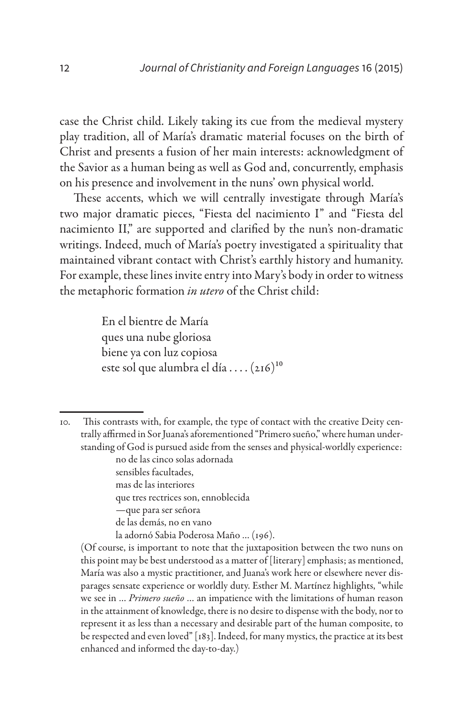case the Christ child. Likely taking its cue from the medieval mystery play tradition, all of María's dramatic material focuses on the birth of Christ and presents a fusion of her main interests: acknowledgment of the Savior as a human being as well as God and, concurrently, emphasis on his presence and involvement in the nuns' own physical world.

These accents, which we will centrally investigate through María's two major dramatic pieces, "Fiesta del nacimiento I" and "Fiesta del nacimiento II," are supported and clarified by the nun's non-dramatic writings. Indeed, much of María's poetry investigated a spirituality that maintained vibrant contact with Christ's earthly history and humanity. For example, these lines invite entry into Mary's body in order to witness the metaphoric formation *in utero* of the Christ child:

> En el bientre de María ques una nube gloriosa biene ya con luz copiosa este sol que alumbra el día .... (216)<sup>10</sup>

sensibles facultades,

- mas de las interiores
- que tres rectrices son, ennoblecida
- —que para ser señora
- de las demás, no en vano
- la adornó Sabia Poderosa Maño … (196).

(Of course, is important to note that the juxtaposition between the two nuns on this point may be best understood as a matter of [literary] emphasis; as mentioned, María was also a mystic practitioner, and Juana's work here or elsewhere never disparages sensate experience or worldly duty. Esther M. Martínez highlights, "while we see in … *Primero sueño* … an impatience with the limitations of human reason in the attainment of knowledge, there is no desire to dispense with the body, nor to represent it as less than a necessary and desirable part of the human composite, to be respected and even loved" [183]. Indeed, for many mystics, the practice at its best enhanced and informed the day-to-day.)

<sup>10.</sup> This contrasts with, for example, the type of contact with the creative Deity centrally affirmed in Sor Juana's aforementioned "Primero sueño," where human understanding of God is pursued aside from the senses and physical-worldly experience: no de las cinco solas adornada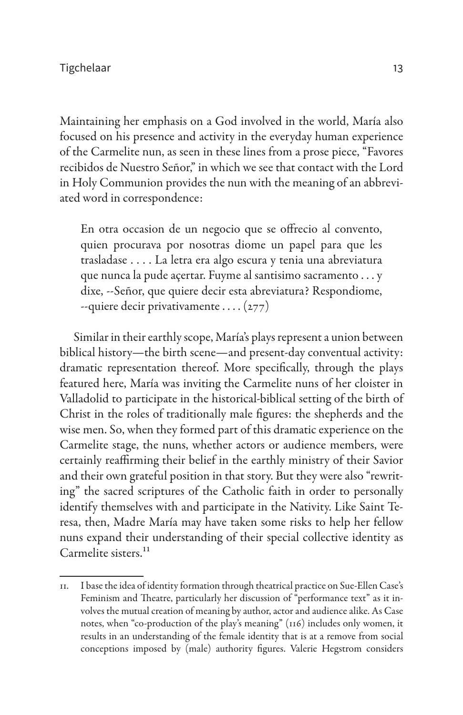Maintaining her emphasis on a God involved in the world, María also focused on his presence and activity in the everyday human experience of the Carmelite nun, as seen in these lines from a prose piece, "Favores recibidos de Nuestro Señor," in which we see that contact with the Lord in Holy Communion provides the nun with the meaning of an abbreviated word in correspondence:

En otra occasion de un negocio que se offrecio al convento, quien procurava por nosotras diome un papel para que les trasladase . . . . La letra era algo escura y tenia una abreviatura que nunca la pude açertar. Fuyme al santisimo sacramento . . . y dixe, --Señor, que quiere decir esta abreviatura? Respondiome,  $-$ quiere decir privativamente ....  $(277)$ 

Similar in their earthly scope, María's plays represent a union between biblical history—the birth scene—and present-day conventual activity: dramatic representation thereof. More specifically, through the plays featured here, María was inviting the Carmelite nuns of her cloister in Valladolid to participate in the historical-biblical setting of the birth of Christ in the roles of traditionally male figures: the shepherds and the wise men. So, when they formed part of this dramatic experience on the Carmelite stage, the nuns, whether actors or audience members, were certainly reaffirming their belief in the earthly ministry of their Savior and their own grateful position in that story. But they were also "rewriting" the sacred scriptures of the Catholic faith in order to personally identify themselves with and participate in the Nativity. Like Saint Teresa, then, Madre María may have taken some risks to help her fellow nuns expand their understanding of their special collective identity as Carmelite sisters.<sup>11</sup>

<sup>11.</sup> I base the idea of identity formation through theatrical practice on Sue-Ellen Case's Feminism and Theatre, particularly her discussion of "performance text" as it involves the mutual creation of meaning by author, actor and audience alike. As Case notes, when "co-production of the play's meaning" (116) includes only women, it results in an understanding of the female identity that is at a remove from social conceptions imposed by (male) authority figures. Valerie Hegstrom considers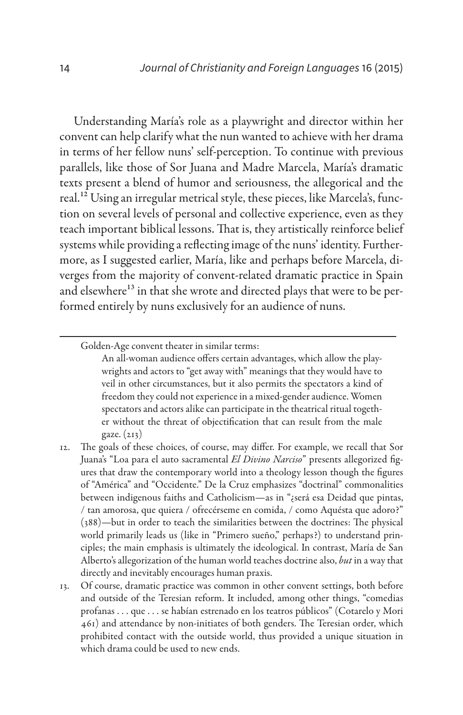Understanding María's role as a playwright and director within her convent can help clarify what the nun wanted to achieve with her drama in terms of her fellow nuns' self-perception. To continue with previous parallels, like those of Sor Juana and Madre Marcela, María's dramatic texts present a blend of humor and seriousness, the allegorical and the real.12 Using an irregular metrical style, these pieces, like Marcela's, function on several levels of personal and collective experience, even as they teach important biblical lessons. That is, they artistically reinforce belief systems while providing a reflecting image of the nuns' identity. Furthermore, as I suggested earlier, María, like and perhaps before Marcela, diverges from the majority of convent-related dramatic practice in Spain and elsewhere<sup>13</sup> in that she wrote and directed plays that were to be performed entirely by nuns exclusively for an audience of nuns.

Golden-Age convent theater in similar terms:

An all-woman audience offers certain advantages, which allow the playwrights and actors to "get away with" meanings that they would have to veil in other circumstances, but it also permits the spectators a kind of freedom they could not experience in a mixed-gender audience. Women spectators and actors alike can participate in the theatrical ritual together without the threat of objectification that can result from the male gaze. (213)

- 12. The goals of these choices, of course, may differ. For example, we recall that Sor Juana's "Loa para el auto sacramental *El Divino Narciso*" presents allegorized figures that draw the contemporary world into a theology lesson though the figures of "América" and "Occidente." De la Cruz emphasizes "doctrinal" commonalities between indigenous faiths and Catholicism—as in "¿será esa Deidad que pintas, / tan amorosa, que quiera / ofrecérseme en comida, / como Aquésta que adoro?" (388)—but in order to teach the similarities between the doctrines: The physical world primarily leads us (like in "Primero sueño," perhaps?) to understand principles; the main emphasis is ultimately the ideological. In contrast, María de San Alberto's allegorization of the human world teaches doctrine also, *but* in a way that directly and inevitably encourages human praxis.
- 13. Of course, dramatic practice was common in other convent settings, both before and outside of the Teresian reform. It included, among other things, "comedias profanas . . . que . . . se habían estrenado en los teatros públicos" (Cotarelo y Mori 461) and attendance by non-initiates of both genders. The Teresian order, which prohibited contact with the outside world, thus provided a unique situation in which drama could be used to new ends.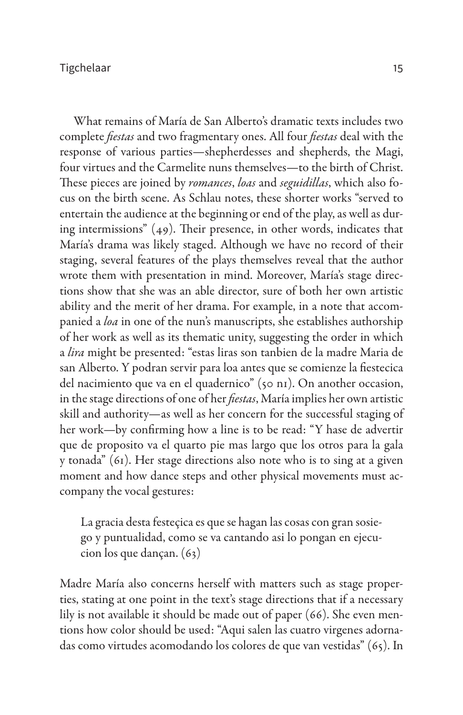What remains of María de San Alberto's dramatic texts includes two complete *fiestas* and two fragmentary ones. All four *fiestas* deal with the response of various parties—shepherdesses and shepherds, the Magi, four virtues and the Carmelite nuns themselves—to the birth of Christ. These pieces are joined by *romances*, *loas* and *seguidillas*, which also focus on the birth scene. As Schlau notes, these shorter works "served to entertain the audience at the beginning or end of the play, as well as during intermissions" (49). Their presence, in other words, indicates that María's drama was likely staged. Although we have no record of their staging, several features of the plays themselves reveal that the author wrote them with presentation in mind. Moreover, María's stage directions show that she was an able director, sure of both her own artistic ability and the merit of her drama. For example, in a note that accompanied a *loa* in one of the nun's manuscripts, she establishes authorship of her work as well as its thematic unity, suggesting the order in which a *lira* might be presented: "estas liras son tanbien de la madre Maria de san Alberto. Y podran servir para loa antes que se comienze la fiestecica del nacimiento que va en el quadernico" (50 n1). On another occasion, in the stage directions of one of her *fiestas*, María implies her own artistic skill and authority—as well as her concern for the successful staging of her work—by confirming how a line is to be read: "Y hase de advertir que de proposito va el quarto pie mas largo que los otros para la gala y tonada" (61). Her stage directions also note who is to sing at a given moment and how dance steps and other physical movements must accompany the vocal gestures:

La gracia desta festeçica es que se hagan las cosas con gran sosiego y puntualidad, como se va cantando asi lo pongan en ejecucion los que dançan. (63)

Madre María also concerns herself with matters such as stage properties, stating at one point in the text's stage directions that if a necessary lily is not available it should be made out of paper (66). She even mentions how color should be used: "Aqui salen las cuatro virgenes adornadas como virtudes acomodando los colores de que van vestidas" (65). In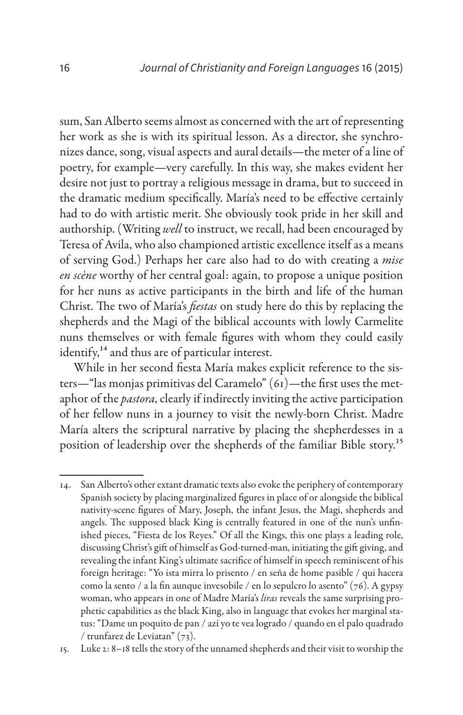sum, San Alberto seems almost as concerned with the art of representing her work as she is with its spiritual lesson. As a director, she synchronizes dance, song, visual aspects and aural details—the meter of a line of poetry, for example—very carefully. In this way, she makes evident her desire not just to portray a religious message in drama, but to succeed in the dramatic medium specifically. María's need to be effective certainly had to do with artistic merit. She obviously took pride in her skill and authorship. (Writing *well* to instruct, we recall, had been encouraged by Teresa of Avila, who also championed artistic excellence itself as a means of serving God.) Perhaps her care also had to do with creating a *mise en scène* worthy of her central goal: again, to propose a unique position for her nuns as active participants in the birth and life of the human Christ. The two of María's *fiestas* on study here do this by replacing the shepherds and the Magi of the biblical accounts with lowly Carmelite nuns themselves or with female figures with whom they could easily identify,<sup>14</sup> and thus are of particular interest.

While in her second fiesta María makes explicit reference to the sisters—"las monjas primitivas del Caramelo" (61)—the first uses the metaphor of the *pastora*, clearly if indirectly inviting the active participation of her fellow nuns in a journey to visit the newly-born Christ. Madre María alters the scriptural narrative by placing the shepherdesses in a position of leadership over the shepherds of the familiar Bible story.15

<sup>14.</sup> San Alberto's other extant dramatic texts also evoke the periphery of contemporary Spanish society by placing marginalized figures in place of or alongside the biblical nativity-scene figures of Mary, Joseph, the infant Jesus, the Magi, shepherds and angels. The supposed black King is centrally featured in one of the nun's unfinished pieces, "Fiesta de los Reyes." Of all the Kings, this one plays a leading role, discussing Christ's gift of himself as God-turned-man, initiating the gift giving, and revealing the infant King's ultimate sacrifice of himself in speech reminiscent of his foreign heritage: "Yo ista mirra lo prisento / en seña de home pasible / qui hacera como la sento / a la fin aunque invesobile / en lo sepulcro lo asento" (76). A gypsy woman, who appears in one of Madre María's *liras* reveals the same surprising prophetic capabilities as the black King, also in language that evokes her marginal status: "Dame un poquito de pan / azi yo te vea logrado / quando en el palo quadrado / trunfarez de Leviatan" (73).

<sup>15.</sup> Luke 2: 8–18 tells the story of the unnamed shepherds and their visit to worship the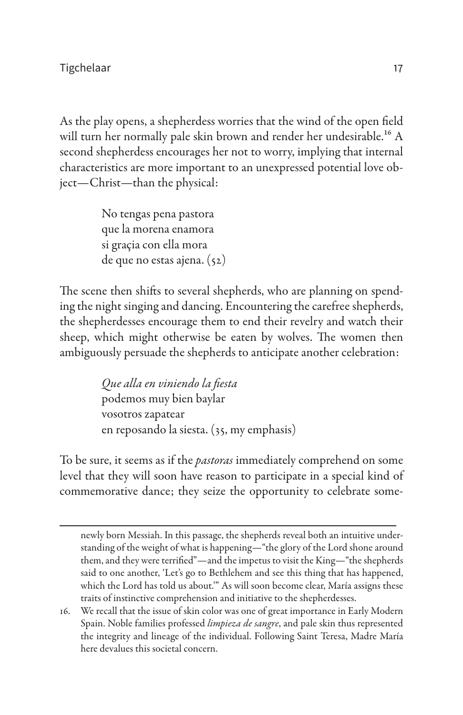As the play opens, a shepherdess worries that the wind of the open field will turn her normally pale skin brown and render her undesirable.<sup>16</sup> A second shepherdess encourages her not to worry, implying that internal characteristics are more important to an unexpressed potential love object—Christ—than the physical:

> No tengas pena pastora que la morena enamora si graçia con ella mora de que no estas ajena. (52)

The scene then shifts to several shepherds, who are planning on spending the night singing and dancing. Encountering the carefree shepherds, the shepherdesses encourage them to end their revelry and watch their sheep, which might otherwise be eaten by wolves. The women then ambiguously persuade the shepherds to anticipate another celebration:

> *Que alla en viniendo la fiesta* podemos muy bien baylar vosotros zapatear en reposando la siesta. (35, my emphasis)

To be sure, it seems as if the *pastoras* immediately comprehend on some level that they will soon have reason to participate in a special kind of commemorative dance; they seize the opportunity to celebrate some-

newly born Messiah. In this passage, the shepherds reveal both an intuitive understanding of the weight of what is happening—"the glory of the Lord shone around them, and they were terrified"—and the impetus to visit the King—"the shepherds said to one another, 'Let's go to Bethlehem and see this thing that has happened, which the Lord has told us about.'" As will soon become clear, María assigns these traits of instinctive comprehension and initiative to the shepherdesses.

<sup>16.</sup> We recall that the issue of skin color was one of great importance in Early Modern Spain. Noble families professed *limpieza de sangre*, and pale skin thus represented the integrity and lineage of the individual. Following Saint Teresa, Madre María here devalues this societal concern.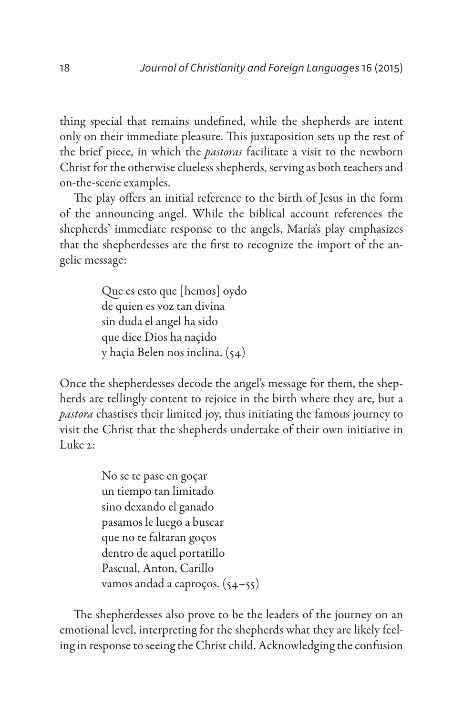thing special that remains undefined, while the shepherds are intent only on their immediate pleasure. This juxtaposition sets up the rest of the brief piece, in which the *pastoras* facilitate a visit to the newborn Christ for the otherwise clueless shepherds, serving as both teachers and on-the-scene examples.

The play offers an initial reference to the birth of Jesus in the form of the announcing angel. While the biblical account references the shepherds' immediate response to the angels, María's play emphasizes that the shepherdesses are the first to recognize the import of the angelic message:

> Que es esto que [hemos] oydo de quien es voz tan divina sin duda el angel ha sido que dice Dios ha naçido y haçia Belen nos inclina. (54)

Once the shepherdesses decode the angel's message for them, the shepherds are tellingly content to rejoice in the birth where they are, but a *pastora* chastises their limited joy, thus initiating the famous journey to visit the Christ that the shepherds undertake of their own initiative in Luke  $2$ :

> No se te pase en goçar un tiempo tan limitado sino dexando el ganado pasamos le luego a buscar que no te faltaran goços dentro de aquel portatillo Pascual, Anton, Carillo vamos andad a caproços. (54–55)

The shepherdesses also prove to be the leaders of the journey on an emotional level, interpreting for the shepherds what they are likely feeling in response to seeing the Christ child. Acknowledging the confusion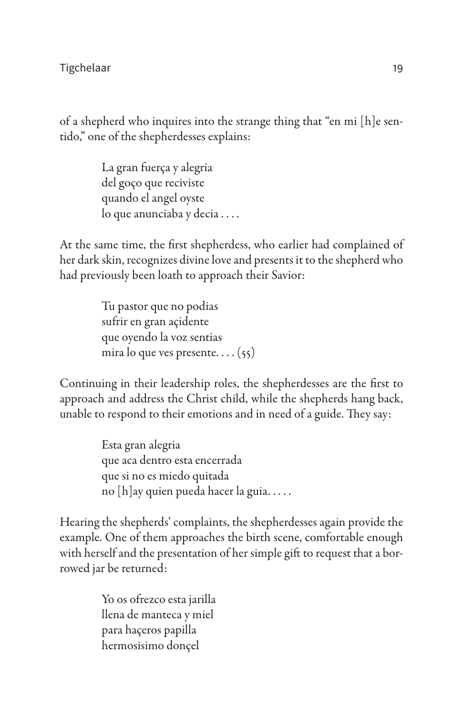of a shepherd who inquires into the strange thing that "en mi [h]e sentido," one of the shepherdesses explains:

> La gran fuerça y alegria del goço que reciviste quando el angel oyste lo que anunciaba y decia . . . .

At the same time, the first shepherdess, who earlier had complained of her dark skin, recognizes divine love and presents it to the shepherd who had previously been loath to approach their Savior:

> Tu pastor que no podias sufrir en gran açidente que oyendo la voz sentias mira lo que ves presente. . . . (55)

Continuing in their leadership roles, the shepherdesses are the first to approach and address the Christ child, while the shepherds hang back, unable to respond to their emotions and in need of a guide. They say:

> Esta gran alegria que aca dentro esta encerrada que si no es miedo quitada no [h]ay quien pueda hacer la guia. . . . .

Hearing the shepherds' complaints, the shepherdesses again provide the example. One of them approaches the birth scene, comfortable enough with herself and the presentation of her simple gift to request that a borrowed jar be returned:

> Yo os ofrezco esta jarilla llena de manteca y miel para haçeros papilla hermosisimo donçel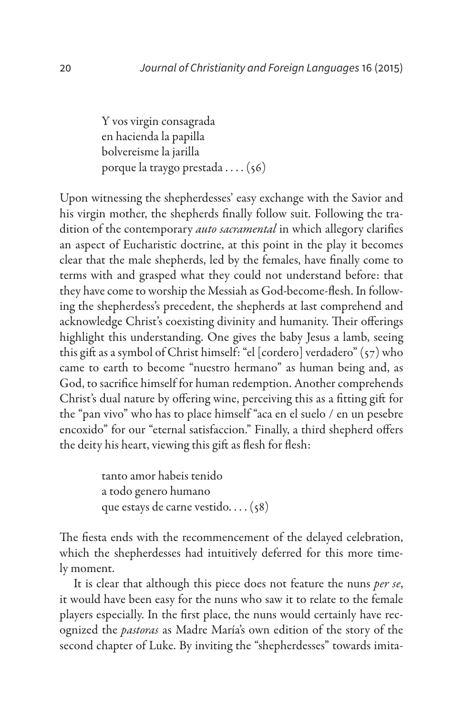Y vos virgin consagrada en hacienda la papilla bolvereisme la jarilla porque la traygo prestada . . . . (56)

Upon witnessing the shepherdesses' easy exchange with the Savior and his virgin mother, the shepherds finally follow suit. Following the tradition of the contemporary *auto sacramental* in which allegory clarifies an aspect of Eucharistic doctrine, at this point in the play it becomes clear that the male shepherds, led by the females, have finally come to terms with and grasped what they could not understand before: that they have come to worship the Messiah as God-become-flesh. In following the shepherdess's precedent, the shepherds at last comprehend and acknowledge Christ's coexisting divinity and humanity. Their offerings highlight this understanding. One gives the baby Jesus a lamb, seeing this gift as a symbol of Christ himself: "el [cordero] verdadero" (57) who came to earth to become "nuestro hermano" as human being and, as God, to sacrifice himself for human redemption. Another comprehends Christ's dual nature by offering wine, perceiving this as a fitting gift for the "pan vivo" who has to place himself "aca en el suelo / en un pesebre encoxido" for our "eternal satisfaccion." Finally, a third shepherd offers the deity his heart, viewing this gift as flesh for flesh:

> tanto amor habeis tenido a todo genero humano que estays de carne vestido. . . . (58)

The fiesta ends with the recommencement of the delayed celebration, which the shepherdesses had intuitively deferred for this more timely moment.

It is clear that although this piece does not feature the nuns *per se*, it would have been easy for the nuns who saw it to relate to the female players especially. In the first place, the nuns would certainly have recognized the *pastoras* as Madre María's own edition of the story of the second chapter of Luke. By inviting the "shepherdesses" towards imita-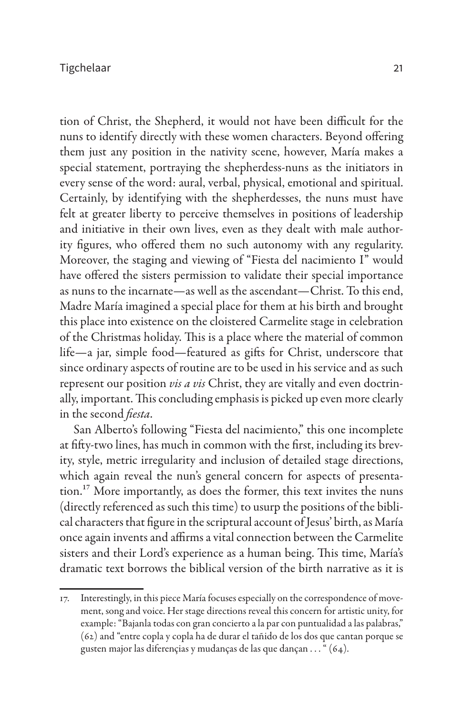tion of Christ, the Shepherd, it would not have been difficult for the nuns to identify directly with these women characters. Beyond offering them just any position in the nativity scene, however, María makes a special statement, portraying the shepherdess-nuns as the initiators in every sense of the word: aural, verbal, physical, emotional and spiritual. Certainly, by identifying with the shepherdesses, the nuns must have felt at greater liberty to perceive themselves in positions of leadership and initiative in their own lives, even as they dealt with male authority figures, who offered them no such autonomy with any regularity. Moreover, the staging and viewing of "Fiesta del nacimiento I" would have offered the sisters permission to validate their special importance as nuns to the incarnate—as well as the ascendant—Christ. To this end, Madre María imagined a special place for them at his birth and brought this place into existence on the cloistered Carmelite stage in celebration of the Christmas holiday. This is a place where the material of common life—a jar, simple food—featured as gifts for Christ, underscore that since ordinary aspects of routine are to be used in his service and as such represent our position *vis a vis* Christ, they are vitally and even doctrinally, important. This concluding emphasis is picked up even more clearly in the second *fiesta*.

San Alberto's following "Fiesta del nacimiento," this one incomplete at fifty-two lines, has much in common with the first, including its brevity, style, metric irregularity and inclusion of detailed stage directions, which again reveal the nun's general concern for aspects of presentation.17 More importantly, as does the former, this text invites the nuns (directly referenced as such this time) to usurp the positions of the biblical characters that figure in the scriptural account of Jesus' birth, as María once again invents and affirms a vital connection between the Carmelite sisters and their Lord's experience as a human being. This time, María's dramatic text borrows the biblical version of the birth narrative as it is

<sup>17.</sup> Interestingly, in this piece María focuses especially on the correspondence of movement, song and voice. Her stage directions reveal this concern for artistic unity, for example: "Bajanla todas con gran concierto a la par con puntualidad a las palabras," (62) and "entre copla y copla ha de durar el tañido de los dos que cantan porque se gusten major las diferençias y mudanças de las que dançan . . . " (64).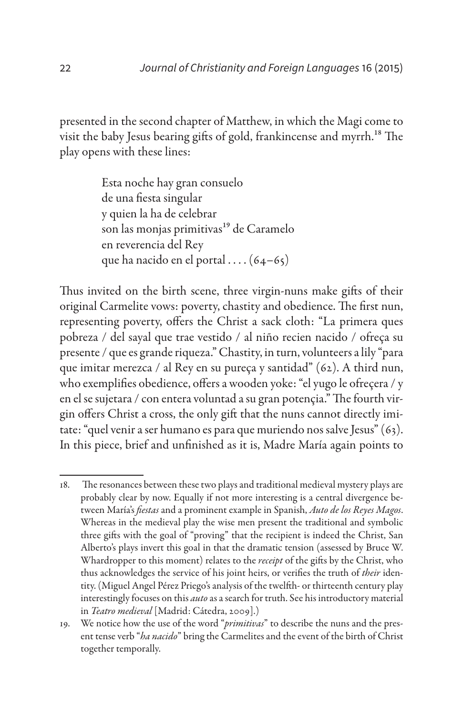presented in the second chapter of Matthew, in which the Magi come to visit the baby Jesus bearing gifts of gold, frankincense and myrrh.<sup>18</sup> The play opens with these lines:

> Esta noche hay gran consuelo de una fiesta singular y quien la ha de celebrar son las monjas primitivas<sup>19</sup> de Caramelo en reverencia del Rey que ha nacido en el portal  $\ldots$  (64–65)

Thus invited on the birth scene, three virgin-nuns make gifts of their original Carmelite vows: poverty, chastity and obedience. The first nun, representing poverty, offers the Christ a sack cloth: "La primera ques pobreza / del sayal que trae vestido / al niño recien nacido / ofreça su presente / que es grande riqueza." Chastity, in turn, volunteers a lily "para que imitar merezca / al Rey en su pureça y santidad" (62). A third nun, who exemplifies obedience, offers a wooden yoke: "el yugo le ofreçera / y en el se sujetara / con entera voluntad a su gran potençia." The fourth virgin offers Christ a cross, the only gift that the nuns cannot directly imitate: "quel venir a ser humano es para que muriendo nos salve Jesus" (63). In this piece, brief and unfinished as it is, Madre María again points to

<sup>18.</sup> The resonances between these two plays and traditional medieval mystery plays are probably clear by now. Equally if not more interesting is a central divergence between María's *fiestas* and a prominent example in Spanish, *Auto de los Reyes Magos*. Whereas in the medieval play the wise men present the traditional and symbolic three gifts with the goal of "proving" that the recipient is indeed the Christ, San Alberto's plays invert this goal in that the dramatic tension (assessed by Bruce W. Whardropper to this moment) relates to the *receipt* of the gifts by the Christ, who thus acknowledges the service of his joint heirs, or verifies the truth of *their* identity. (Miguel Angel Pérez Priego's analysis of the twelfth- or thirteenth century play interestingly focuses on this *auto* as a search for truth. See his introductory material in *Teatro medieval* [Madrid: Cátedra, 2009].)

<sup>19.</sup> We notice how the use of the word "*primitivas*" to describe the nuns and the present tense verb "*ha nacido*" bring the Carmelites and the event of the birth of Christ together temporally.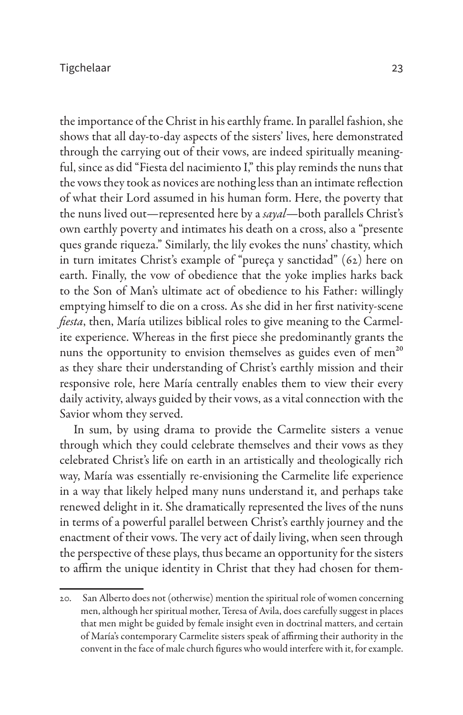the importance of the Christ in his earthly frame. In parallel fashion, she shows that all day-to-day aspects of the sisters' lives, here demonstrated through the carrying out of their vows, are indeed spiritually meaningful, since as did "Fiesta del nacimiento I," this play reminds the nuns that the vows they took as novices are nothing less than an intimate reflection of what their Lord assumed in his human form. Here, the poverty that the nuns lived out—represented here by a *sayal*—both parallels Christ's own earthly poverty and intimates his death on a cross, also a "presente ques grande riqueza." Similarly, the lily evokes the nuns' chastity, which in turn imitates Christ's example of "pureça y sanctidad" (62) here on earth. Finally, the vow of obedience that the yoke implies harks back to the Son of Man's ultimate act of obedience to his Father: willingly emptying himself to die on a cross. As she did in her first nativity-scene *fiesta*, then, María utilizes biblical roles to give meaning to the Carmelite experience. Whereas in the first piece she predominantly grants the nuns the opportunity to envision themselves as guides even of men<sup>20</sup> as they share their understanding of Christ's earthly mission and their responsive role, here María centrally enables them to view their every daily activity, always guided by their vows, as a vital connection with the Savior whom they served.

In sum, by using drama to provide the Carmelite sisters a venue through which they could celebrate themselves and their vows as they celebrated Christ's life on earth in an artistically and theologically rich way, María was essentially re-envisioning the Carmelite life experience in a way that likely helped many nuns understand it, and perhaps take renewed delight in it. She dramatically represented the lives of the nuns in terms of a powerful parallel between Christ's earthly journey and the enactment of their vows. The very act of daily living, when seen through the perspective of these plays, thus became an opportunity for the sisters to affirm the unique identity in Christ that they had chosen for them-

<sup>20.</sup> San Alberto does not (otherwise) mention the spiritual role of women concerning men, although her spiritual mother, Teresa of Avila, does carefully suggest in places that men might be guided by female insight even in doctrinal matters, and certain of María's contemporary Carmelite sisters speak of affirming their authority in the convent in the face of male church figures who would interfere with it, for example.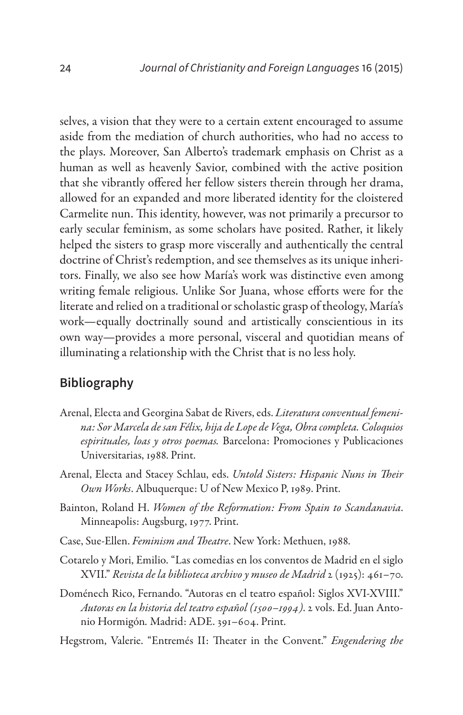selves, a vision that they were to a certain extent encouraged to assume aside from the mediation of church authorities, who had no access to the plays. Moreover, San Alberto's trademark emphasis on Christ as a human as well as heavenly Savior, combined with the active position that she vibrantly offered her fellow sisters therein through her drama, allowed for an expanded and more liberated identity for the cloistered Carmelite nun. This identity, however, was not primarily a precursor to early secular feminism, as some scholars have posited. Rather, it likely helped the sisters to grasp more viscerally and authentically the central doctrine of Christ's redemption, and see themselves as its unique inheritors. Finally, we also see how María's work was distinctive even among writing female religious. Unlike Sor Juana, whose efforts were for the literate and relied on a traditional or scholastic grasp of theology, María's work—equally doctrinally sound and artistically conscientious in its own way—provides a more personal, visceral and quotidian means of illuminating a relationship with the Christ that is no less holy.

### **Bibliography**

- Arenal, Electa and Georgina Sabat de Rivers, eds. *Literatura conventual femenina: Sor Marcela de san Félix, hija de Lope de Vega, Obra completa. Coloquios espirituales, loas y otros poemas.* Barcelona: Promociones y Publicaciones Universitarias, 1988. Print.
- Arenal, Electa and Stacey Schlau, eds. *Untold Sisters: Hispanic Nuns in Their Own Works*. Albuquerque: U of New Mexico P, 1989. Print.
- Bainton, Roland H. *Women of the Reformation: From Spain to Scandanavia*. Minneapolis: Augsburg, 1977. Print.
- Case, Sue-Ellen. *Feminism and Theatre*. New York: Methuen, 1988.
- Cotarelo y Mori, Emilio. "Las comedias en los conventos de Madrid en el siglo XVII." *Revista de la biblioteca archivo y museo de Madrid* 2 (1925): 461–70.
- Doménech Rico, Fernando. "Autoras en el teatro español: Siglos XVI-XVIII." *Autoras en la historia del teatro español (1500–1994)*. 2 vols. Ed. Juan Antonio Hormigón*.* Madrid: ADE. 391–604. Print.
- Hegstrom, Valerie. "Entremés II: Theater in the Convent." *Engendering the*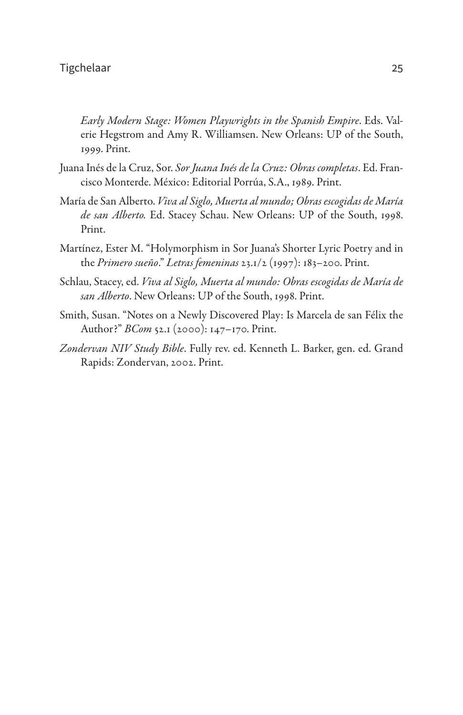*Early Modern Stage: Women Playwrights in the Spanish Empire*. Eds. Valerie Hegstrom and Amy R. Williamsen. New Orleans: UP of the South, 1999. Print.

- Juana Inés de la Cruz, Sor. *Sor Juana Inés de la Cruz: Obras completas*. Ed. Francisco Monterde. México: Editorial Porrúa, S.A., 1989. Print.
- María de San Alberto. *Viva al Siglo, Muerta al mundo; Obras escogidas de María de san Alberto.* Ed. Stacey Schau. New Orleans: UP of the South, 1998. Print.
- Martínez, Ester M. "Holymorphism in Sor Juana's Shorter Lyric Poetry and in the *Primero sueño*." *Letras femeninas* 23.1/2 (1997): 183–200. Print.
- Schlau, Stacey, ed. *Viva al Siglo, Muerta al mundo: Obras escogidas de María de san Alberto*. New Orleans: UP of the South, 1998. Print.
- Smith, Susan. "Notes on a Newly Discovered Play: Is Marcela de san Félix the Author?" *BCom* 52.1 (2000): 147–170. Print.
- *Zondervan NIV Study Bible*. Fully rev. ed. Kenneth L. Barker, gen. ed. Grand Rapids: Zondervan, 2002. Print.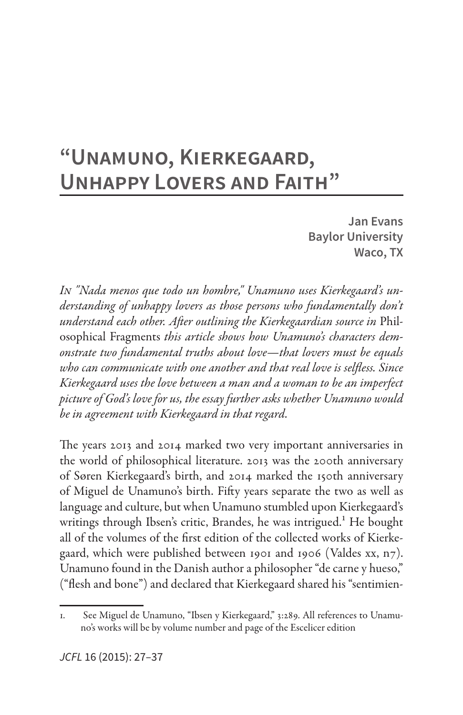# **"Unamuno, Kierkegaard, Unhappy Lovers and Faith"**

**Jan Evans Baylor University Waco, TX**

*In "Nada menos que todo un hombre," Unamuno uses Kierkegaard's understanding of unhappy lovers as those persons who fundamentally don't understand each other. After outlining the Kierkegaardian source in* Philosophical Fragments *this article shows how Unamuno's characters demonstrate two fundamental truths about love—that lovers must be equals who can communicate with one another and that real love is selfless. Since Kierkegaard uses the love between a man and a woman to be an imperfect picture of God's love for us, the essay further asks whether Unamuno would be in agreement with Kierkegaard in that regard.*

The years 2013 and 2014 marked two very important anniversaries in the world of philosophical literature. 2013 was the 200th anniversary of Søren Kierkegaard's birth, and 2014 marked the 150th anniversary of Miguel de Unamuno's birth. Fifty years separate the two as well as language and culture, but when Unamuno stumbled upon Kierkegaard's writings through Ibsen's critic, Brandes, he was intrigued.<sup>1</sup> He bought all of the volumes of the first edition of the collected works of Kierkegaard, which were published between 1901 and 1906 (Valdes xx, n7). Unamuno found in the Danish author a philosopher "de carne y hueso," ("flesh and bone") and declared that Kierkegaard shared his "sentimien-

<sup>1.</sup> See Miguel de Unamuno, "Ibsen y Kierkegaard," 3:289. All references to Unamuno's works will be by volume number and page of the Escelicer edition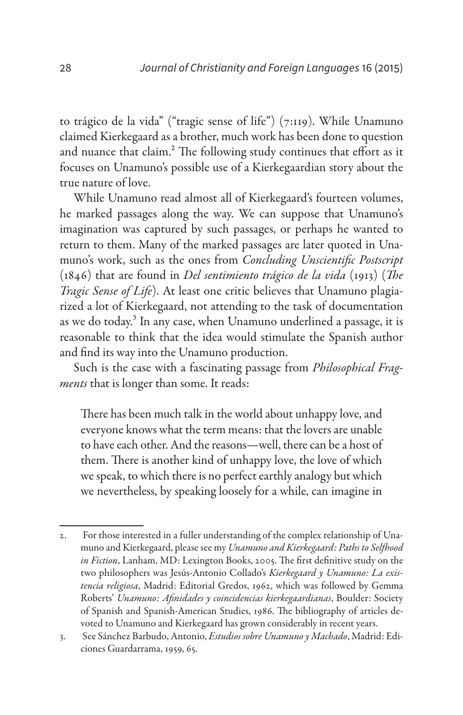to trágico de la vida" ("tragic sense of life") (7:119). While Unamuno claimed Kierkegaard as a brother, much work has been done to question and nuance that claim.<sup>2</sup> The following study continues that effort as it focuses on Unamuno's possible use of a Kierkegaardian story about the true nature of love.

While Unamuno read almost all of Kierkegaard's fourteen volumes, he marked passages along the way. We can suppose that Unamuno's imagination was captured by such passages, or perhaps he wanted to return to them. Many of the marked passages are later quoted in Unamuno's work, such as the ones from *Concluding Unscientific Postscript* (1846) that are found in *Del sentimiento trágico de la vida* (1913) (*The Tragic Sense of Life*). At least one critic believes that Unamuno plagiarized a lot of Kierkegaard, not attending to the task of documentation as we do today.<sup>3</sup> In any case, when Unamuno underlined a passage, it is reasonable to think that the idea would stimulate the Spanish author and find its way into the Unamuno production.

Such is the case with a fascinating passage from *Philosophical Fragments* that is longer than some. It reads:

There has been much talk in the world about unhappy love, and everyone knows what the term means: that the lovers are unable to have each other. And the reasons—well, there can be a host of them. There is another kind of unhappy love, the love of which we speak, to which there is no perfect earthly analogy but which we nevertheless, by speaking loosely for a while, can imagine in

<sup>2.</sup> For those interested in a fuller understanding of the complex relationship of Unamuno and Kierkegaard, please see my *Unamuno and Kierkegaard: Paths to Selfhood in Fiction*, Lanham, MD: Lexington Books, 2005. The first definitive study on the two philosophers was Jesús-Antonio Collado's *Kierkegaard y Unamuno: La existencia religiosa*, Madrid: Editorial Gredos, 1962, which was followed by Gemma Roberts' *Unamuno: Afinidades y coincidencias kierkegaardianas*, Boulder: Society of Spanish and Spanish-American Studies, 1986. The bibliography of articles devoted to Unamuno and Kierkegaard has grown considerably in recent years.

<sup>3.</sup> See Sánchez Barbudo, Antonio, *Estudios sobre Unamuno y Machado*, Madrid: Ediciones Guardarrama, 1959, 65.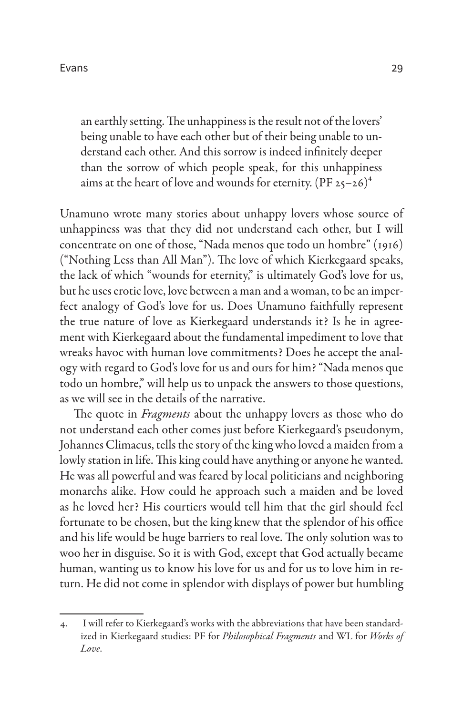an earthly setting. The unhappiness is the result not of the lovers' being unable to have each other but of their being unable to understand each other. And this sorrow is indeed infinitely deeper than the sorrow of which people speak, for this unhappiness aims at the heart of love and wounds for eternity.  $(PF 25-26)^4$ 

Unamuno wrote many stories about unhappy lovers whose source of unhappiness was that they did not understand each other, but I will concentrate on one of those, "Nada menos que todo un hombre" (1916) ("Nothing Less than All Man"). The love of which Kierkegaard speaks, the lack of which "wounds for eternity," is ultimately God's love for us, but he uses erotic love, love between a man and a woman, to be an imperfect analogy of God's love for us. Does Unamuno faithfully represent the true nature of love as Kierkegaard understands it? Is he in agreement with Kierkegaard about the fundamental impediment to love that wreaks havoc with human love commitments? Does he accept the analogy with regard to God's love for us and ours for him? "Nada menos que todo un hombre," will help us to unpack the answers to those questions, as we will see in the details of the narrative.

The quote in *Fragments* about the unhappy lovers as those who do not understand each other comes just before Kierkegaard's pseudonym, Johannes Climacus, tells the story of the king who loved a maiden from a lowly station in life. This king could have anything or anyone he wanted. He was all powerful and was feared by local politicians and neighboring monarchs alike. How could he approach such a maiden and be loved as he loved her? His courtiers would tell him that the girl should feel fortunate to be chosen, but the king knew that the splendor of his office and his life would be huge barriers to real love. The only solution was to woo her in disguise. So it is with God, except that God actually became human, wanting us to know his love for us and for us to love him in return. He did not come in splendor with displays of power but humbling

<sup>4.</sup> I will refer to Kierkegaard's works with the abbreviations that have been standardized in Kierkegaard studies: PF for *Philosophical Fragments* and WL for *Works of Love*.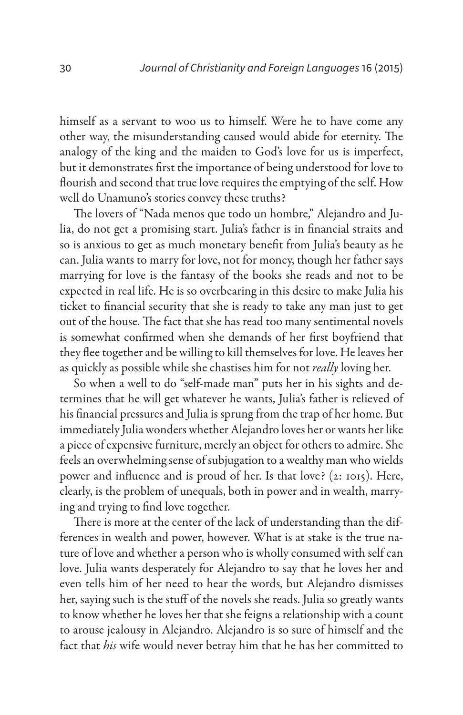himself as a servant to woo us to himself. Were he to have come any other way, the misunderstanding caused would abide for eternity. The analogy of the king and the maiden to God's love for us is imperfect, but it demonstrates first the importance of being understood for love to flourish and second that true love requires the emptying of the self. How well do Unamuno's stories convey these truths?

The lovers of "Nada menos que todo un hombre," Alejandro and Julia, do not get a promising start. Julia's father is in financial straits and so is anxious to get as much monetary benefit from Julia's beauty as he can. Julia wants to marry for love, not for money, though her father says marrying for love is the fantasy of the books she reads and not to be expected in real life. He is so overbearing in this desire to make Julia his ticket to financial security that she is ready to take any man just to get out of the house. The fact that she has read too many sentimental novels is somewhat confirmed when she demands of her first boyfriend that they flee together and be willing to kill themselves for love. He leaves her as quickly as possible while she chastises him for not *really* loving her.

So when a well to do "self-made man" puts her in his sights and determines that he will get whatever he wants, Julia's father is relieved of his financial pressures and Julia is sprung from the trap of her home. But immediately Julia wonders whether Alejandro loves her or wants her like a piece of expensive furniture, merely an object for others to admire. She feels an overwhelming sense of subjugation to a wealthy man who wields power and influence and is proud of her. Is that love? (2: 1015). Here, clearly, is the problem of unequals, both in power and in wealth, marrying and trying to find love together.

There is more at the center of the lack of understanding than the differences in wealth and power, however. What is at stake is the true nature of love and whether a person who is wholly consumed with self can love. Julia wants desperately for Alejandro to say that he loves her and even tells him of her need to hear the words, but Alejandro dismisses her, saying such is the stuff of the novels she reads. Julia so greatly wants to know whether he loves her that she feigns a relationship with a count to arouse jealousy in Alejandro. Alejandro is so sure of himself and the fact that *his* wife would never betray him that he has her committed to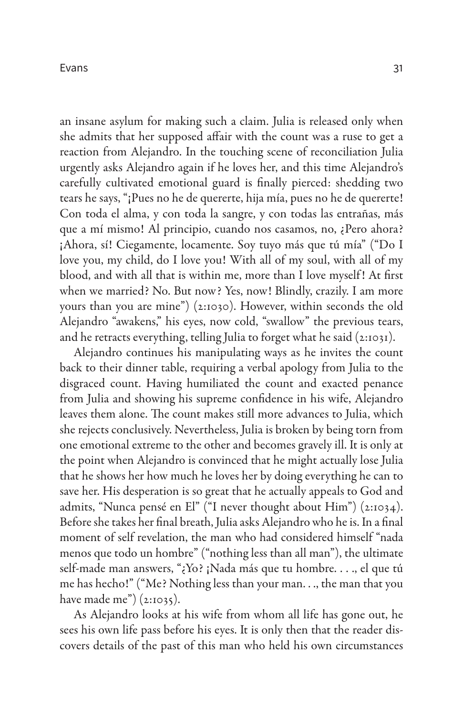an insane asylum for making such a claim. Julia is released only when she admits that her supposed affair with the count was a ruse to get a reaction from Alejandro. In the touching scene of reconciliation Julia urgently asks Alejandro again if he loves her, and this time Alejandro's carefully cultivated emotional guard is finally pierced: shedding two tears he says, "¡Pues no he de quererte, hija mía, pues no he de quererte! Con toda el alma, y con toda la sangre, y con todas las entrañas, más que a mí mismo! Al principio, cuando nos casamos, no, ¿Pero ahora? ¡Ahora, sí! Ciegamente, locamente. Soy tuyo más que tú mía" ("Do I love you, my child, do I love you! With all of my soul, with all of my blood, and with all that is within me, more than I love myself ! At first when we married? No. But now? Yes, now! Blindly, crazily. I am more yours than you are mine") (2:1030). However, within seconds the old Alejandro "awakens," his eyes, now cold, "swallow" the previous tears, and he retracts everything, telling Julia to forget what he said (2:1031).

Alejandro continues his manipulating ways as he invites the count back to their dinner table, requiring a verbal apology from Julia to the disgraced count. Having humiliated the count and exacted penance from Julia and showing his supreme confidence in his wife, Alejandro leaves them alone. The count makes still more advances to Julia, which she rejects conclusively. Nevertheless, Julia is broken by being torn from one emotional extreme to the other and becomes gravely ill. It is only at the point when Alejandro is convinced that he might actually lose Julia that he shows her how much he loves her by doing everything he can to save her. His desperation is so great that he actually appeals to God and admits, "Nunca pensé en El" ("I never thought about Him") (2:1034). Before she takes her final breath, Julia asks Alejandro who he is. In a final moment of self revelation, the man who had considered himself "nada menos que todo un hombre" ("nothing less than all man"), the ultimate self-made man answers, "¿Yo? ¡Nada más que tu hombre. . . ., el que tú me has hecho!" ("Me? Nothing less than your man. . ., the man that you have made me" $(2:1035)$ .

As Alejandro looks at his wife from whom all life has gone out, he sees his own life pass before his eyes. It is only then that the reader discovers details of the past of this man who held his own circumstances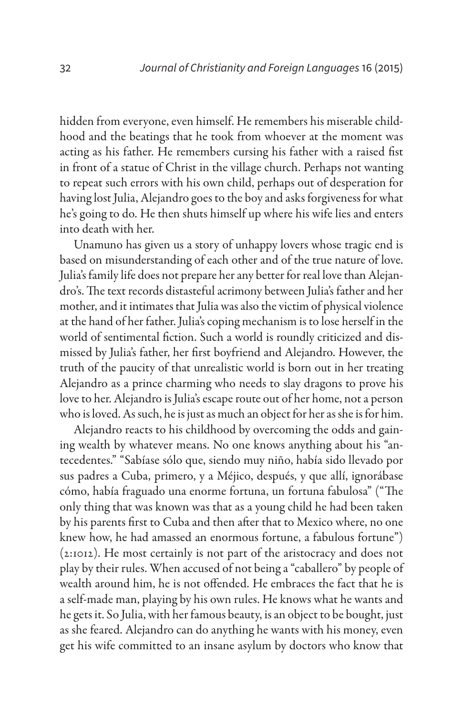hidden from everyone, even himself. He remembers his miserable childhood and the beatings that he took from whoever at the moment was acting as his father. He remembers cursing his father with a raised fist in front of a statue of Christ in the village church. Perhaps not wanting to repeat such errors with his own child, perhaps out of desperation for having lost Julia, Alejandro goes to the boy and asks forgiveness for what he's going to do. He then shuts himself up where his wife lies and enters into death with her.

Unamuno has given us a story of unhappy lovers whose tragic end is based on misunderstanding of each other and of the true nature of love. Julia's family life does not prepare her any better for real love than Alejandro's. The text records distasteful acrimony between Julia's father and her mother, and it intimates that Julia was also the victim of physical violence at the hand of her father. Julia's coping mechanism is to lose herself in the world of sentimental fiction. Such a world is roundly criticized and dismissed by Julia's father, her first boyfriend and Alejandro. However, the truth of the paucity of that unrealistic world is born out in her treating Alejandro as a prince charming who needs to slay dragons to prove his love to her. Alejandro is Julia's escape route out of her home, not a person who is loved. As such, he is just as much an object for her as she is for him.

Alejandro reacts to his childhood by overcoming the odds and gaining wealth by whatever means. No one knows anything about his "antecedentes." "Sabíase sólo que, siendo muy niño, había sido llevado por sus padres a Cuba, primero, y a Méjico, después, y que allí, ignorábase cómo, había fraguado una enorme fortuna, un fortuna fabulosa" ("The only thing that was known was that as a young child he had been taken by his parents first to Cuba and then after that to Mexico where, no one knew how, he had amassed an enormous fortune, a fabulous fortune") (2:1012). He most certainly is not part of the aristocracy and does not play by their rules. When accused of not being a "caballero" by people of wealth around him, he is not offended. He embraces the fact that he is a self-made man, playing by his own rules. He knows what he wants and he gets it. So Julia, with her famous beauty, is an object to be bought, just as she feared. Alejandro can do anything he wants with his money, even get his wife committed to an insane asylum by doctors who know that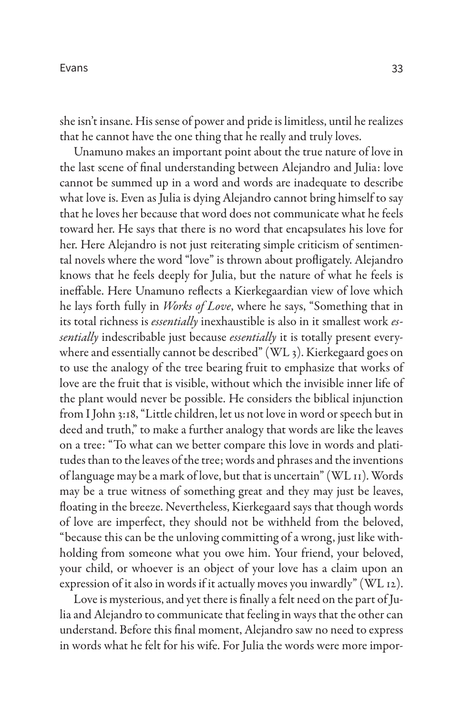she isn't insane. His sense of power and pride is limitless, until he realizes that he cannot have the one thing that he really and truly loves.

Unamuno makes an important point about the true nature of love in the last scene of final understanding between Alejandro and Julia: love cannot be summed up in a word and words are inadequate to describe what love is. Even as Julia is dying Alejandro cannot bring himself to say that he loves her because that word does not communicate what he feels toward her. He says that there is no word that encapsulates his love for her. Here Alejandro is not just reiterating simple criticism of sentimental novels where the word "love" is thrown about profligately. Alejandro knows that he feels deeply for Julia, but the nature of what he feels is ineffable. Here Unamuno reflects a Kierkegaardian view of love which he lays forth fully in *Works of Love*, where he says, "Something that in its total richness is *essentially* inexhaustible is also in it smallest work *essentially* indescribable just because *essentially* it is totally present everywhere and essentially cannot be described" (WL 3). Kierkegaard goes on to use the analogy of the tree bearing fruit to emphasize that works of love are the fruit that is visible, without which the invisible inner life of the plant would never be possible. He considers the biblical injunction from I John 3:18, "Little children, let us not love in word or speech but in deed and truth," to make a further analogy that words are like the leaves on a tree: "To what can we better compare this love in words and platitudes than to the leaves of the tree; words and phrases and the inventions of language may be a mark of love, but that is uncertain" (WL 11). Words may be a true witness of something great and they may just be leaves, floating in the breeze. Nevertheless, Kierkegaard says that though words of love are imperfect, they should not be withheld from the beloved, "because this can be the unloving committing of a wrong, just like withholding from someone what you owe him. Your friend, your beloved, your child, or whoever is an object of your love has a claim upon an expression of it also in words if it actually moves you inwardly" (WL 12).

Love is mysterious, and yet there is finally a felt need on the part of Julia and Alejandro to communicate that feeling in ways that the other can understand. Before this final moment, Alejandro saw no need to express in words what he felt for his wife. For Julia the words were more impor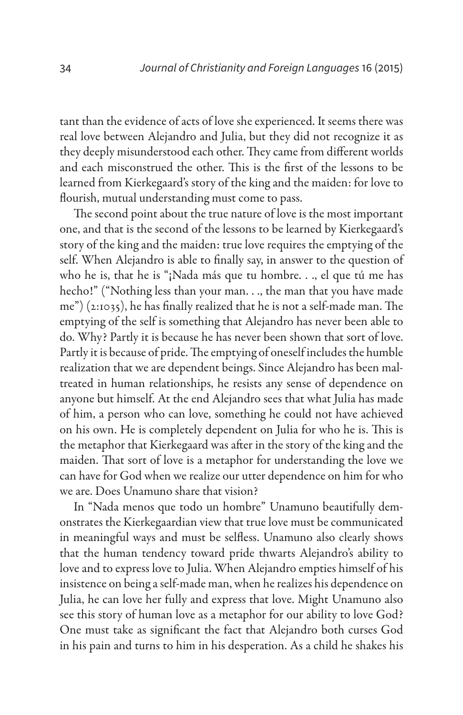tant than the evidence of acts of love she experienced. It seems there was real love between Alejandro and Julia, but they did not recognize it as they deeply misunderstood each other. They came from different worlds and each misconstrued the other. This is the first of the lessons to be learned from Kierkegaard's story of the king and the maiden: for love to flourish, mutual understanding must come to pass.

The second point about the true nature of love is the most important one, and that is the second of the lessons to be learned by Kierkegaard's story of the king and the maiden: true love requires the emptying of the self. When Alejandro is able to finally say, in answer to the question of who he is, that he is "¡Nada más que tu hombre. . ., el que tú me has hecho!" ("Nothing less than your man. . ., the man that you have made me") (2:1035), he has finally realized that he is not a self-made man. The emptying of the self is something that Alejandro has never been able to do. Why? Partly it is because he has never been shown that sort of love. Partly it is because of pride. The emptying of oneself includes the humble realization that we are dependent beings. Since Alejandro has been maltreated in human relationships, he resists any sense of dependence on anyone but himself. At the end Alejandro sees that what Julia has made of him, a person who can love, something he could not have achieved on his own. He is completely dependent on Julia for who he is. This is the metaphor that Kierkegaard was after in the story of the king and the maiden. That sort of love is a metaphor for understanding the love we can have for God when we realize our utter dependence on him for who we are. Does Unamuno share that vision?

In "Nada menos que todo un hombre" Unamuno beautifully demonstrates the Kierkegaardian view that true love must be communicated in meaningful ways and must be selfless. Unamuno also clearly shows that the human tendency toward pride thwarts Alejandro's ability to love and to express love to Julia. When Alejandro empties himself of his insistence on being a self-made man, when he realizes his dependence on Julia, he can love her fully and express that love. Might Unamuno also see this story of human love as a metaphor for our ability to love God? One must take as significant the fact that Alejandro both curses God in his pain and turns to him in his desperation. As a child he shakes his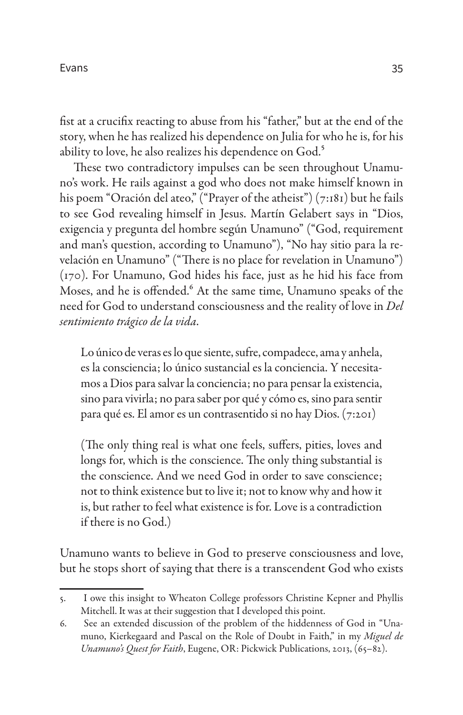fist at a crucifix reacting to abuse from his "father," but at the end of the story, when he has realized his dependence on Julia for who he is, for his ability to love, he also realizes his dependence on God.<sup>5</sup>

These two contradictory impulses can be seen throughout Unamuno's work. He rails against a god who does not make himself known in his poem "Oración del ateo," ("Prayer of the atheist")  $(7:181)$  but he fails to see God revealing himself in Jesus. Martín Gelabert says in "Dios, exigencia y pregunta del hombre según Unamuno" ("God, requirement and man's question, according to Unamuno"), "No hay sitio para la revelación en Unamuno" ("There is no place for revelation in Unamuno") (170). For Unamuno, God hides his face, just as he hid his face from Moses, and he is offended.<sup>6</sup> At the same time, Unamuno speaks of the need for God to understand consciousness and the reality of love in *Del sentimiento trágico de la vida*.

Lo único de veras es lo que siente, sufre, compadece, ama y anhela, es la consciencia; lo único sustancial es la conciencia. Y necesitamos a Dios para salvar la conciencia; no para pensar la existencia, sino para vivirla; no para saber por qué y cómo es, sino para sentir para qué es. El amor es un contrasentido si no hay Dios. (7:201)

(The only thing real is what one feels, suffers, pities, loves and longs for, which is the conscience. The only thing substantial is the conscience. And we need God in order to save conscience; not to think existence but to live it; not to know why and how it is, but rather to feel what existence is for. Love is a contradiction if there is no God.)

Unamuno wants to believe in God to preserve consciousness and love, but he stops short of saying that there is a transcendent God who exists

<sup>5.</sup> I owe this insight to Wheaton College professors Christine Kepner and Phyllis Mitchell. It was at their suggestion that I developed this point.

<sup>6.</sup> See an extended discussion of the problem of the hiddenness of God in "Unamuno, Kierkegaard and Pascal on the Role of Doubt in Faith," in my *Miguel de Unamuno's Quest for Faith*, Eugene, OR: Pickwick Publications, 2013, (65–82).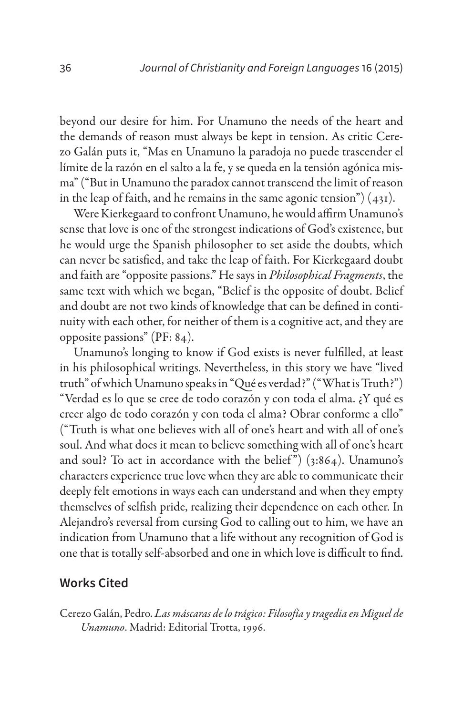beyond our desire for him. For Unamuno the needs of the heart and the demands of reason must always be kept in tension. As critic Cerezo Galán puts it, "Mas en Unamuno la paradoja no puede trascender el límite de la razón en el salto a la fe, y se queda en la tensión agónica misma" ("But in Unamuno the paradox cannot transcend the limit of reason in the leap of faith, and he remains in the same agonic tension")  $(431)$ .

Were Kierkegaard to confront Unamuno, he would affirm Unamuno's sense that love is one of the strongest indications of God's existence, but he would urge the Spanish philosopher to set aside the doubts, which can never be satisfied, and take the leap of faith. For Kierkegaard doubt and faith are "opposite passions." He says in *Philosophical Fragments*, the same text with which we began, "Belief is the opposite of doubt. Belief and doubt are not two kinds of knowledge that can be defined in continuity with each other, for neither of them is a cognitive act, and they are opposite passions" (PF: 84).

Unamuno's longing to know if God exists is never fulfilled, at least in his philosophical writings. Nevertheless, in this story we have "lived truth" of which Unamuno speaks in "Qué es verdad?" ("What is Truth?") "Verdad es lo que se cree de todo corazón y con toda el alma. ¿Y qué es creer algo de todo corazón y con toda el alma? Obrar conforme a ello" ("Truth is what one believes with all of one's heart and with all of one's soul. And what does it mean to believe something with all of one's heart and soul? To act in accordance with the belief") (3:864). Unamuno's characters experience true love when they are able to communicate their deeply felt emotions in ways each can understand and when they empty themselves of selfish pride, realizing their dependence on each other. In Alejandro's reversal from cursing God to calling out to him, we have an indication from Unamuno that a life without any recognition of God is one that is totally self-absorbed and one in which love is difficult to find.

#### **Works Cited**

Cerezo Galán, Pedro. *Las máscaras de lo trágico: Filosofía y tragedia en Miguel de Unamuno*. Madrid: Editorial Trotta, 1996.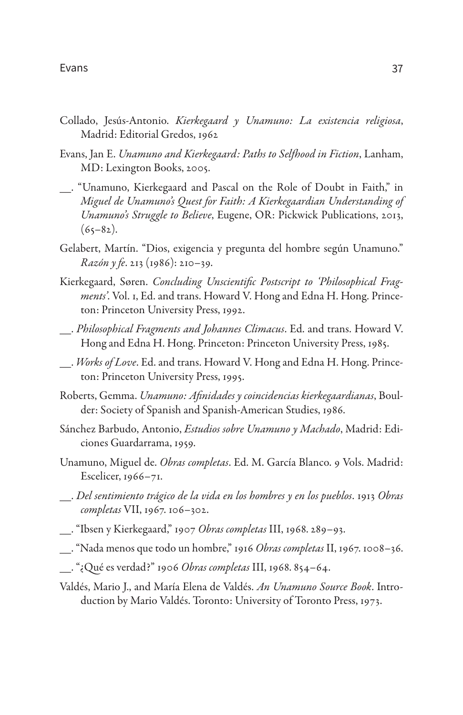- Collado, Jesús-Antonio. *Kierkegaard y Unamuno: La existencia religiosa*, Madrid: Editorial Gredos, 1962
- Evans, Jan E. *Unamuno and Kierkegaard: Paths to Selfhood in Fiction*, Lanham, MD: Lexington Books, 2005.
- \_\_. "Unamuno, Kierkegaard and Pascal on the Role of Doubt in Faith," in *Miguel de Unamuno's Quest for Faith: A Kierkegaardian Understanding of Unamuno's Struggle to Believe*, Eugene, OR: Pickwick Publications, 2013,  $(65-82)$ .
- Gelabert, Martín. "Dios, exigencia y pregunta del hombre según Unamuno." *Razón y fe*. 213 (1986): 210–39.
- Kierkegaard, Søren. *Concluding Unscientific Postscript to 'Philosophical Fragments'*. Vol. 1, Ed. and trans. Howard V. Hong and Edna H. Hong. Princeton: Princeton University Press, 1992.
- \_\_. *Philosophical Fragments and Johannes Climacus*. Ed. and trans. Howard V. Hong and Edna H. Hong. Princeton: Princeton University Press, 1985.
- \_\_. *Works of Love*. Ed. and trans. Howard V. Hong and Edna H. Hong. Princeton: Princeton University Press, 1995.
- Roberts, Gemma. *Unamuno: Afinidades y coincidencias kierkegaardianas*, Boulder: Society of Spanish and Spanish-American Studies, 1986.
- Sánchez Barbudo, Antonio, *Estudios sobre Unamuno y Machado*, Madrid: Ediciones Guardarrama, 1959.
- Unamuno, Miguel de. *Obras completas*. Ed. M. García Blanco. 9 Vols. Madrid: Escelicer, 1966–71.
- \_\_. *Del sentimiento trágico de la vida en los hombres y en los pueblos*. 1913 *Obras completas* VII, 1967. 106–302.
- \_\_. "Ibsen y Kierkegaard," 1907 *Obras completas* III, 1968. 289–93.
- \_\_. "Nada menos que todo un hombre," 1916 *Obras completas* II, 1967. 1008–36.
- \_\_. "¿Qué es verdad?" 1906 *Obras completas* III, 1968. 854–64.
- Valdés, Mario J., and María Elena de Valdés. *An Unamuno Source Book*. Introduction by Mario Valdés. Toronto: University of Toronto Press, 1973.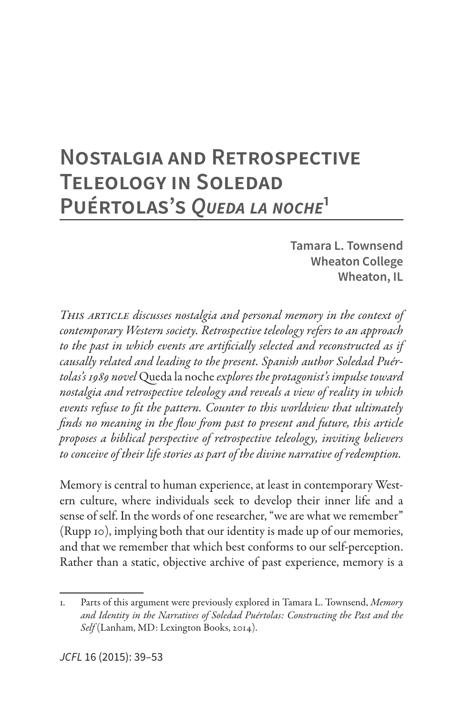# **Nostalgia and Retrospective Teleology in Soledad Puértolas's** *Queda la noche***<sup>1</sup>**

**Tamara L. Townsend Wheaton College Wheaton, IL**

*This article discusses nostalgia and personal memory in the context of contemporary Western society. Retrospective teleology refers to an approach to the past in which events are artificially selected and reconstructed as if causally related and leading to the present. Spanish author Soledad Puértolas's 1989 novel* Queda la noche *explores the protagonist's impulse toward nostalgia and retrospective teleology and reveals a view of reality in which events refuse to fit the pattern. Counter to this worldview that ultimately finds no meaning in the flow from past to present and future, this article proposes a biblical perspective of retrospective teleology, inviting believers to conceive of their life stories as part of the divine narrative of redemption.*

Memory is central to human experience, at least in contemporary Western culture, where individuals seek to develop their inner life and a sense of self. In the words of one researcher, "we are what we remember" (Rupp 10), implying both that our identity is made up of our memories, and that we remember that which best conforms to our self-perception. Rather than a static, objective archive of past experience, memory is a

<sup>1.</sup> Parts of this argument were previously explored in Tamara L. Townsend, *Memory and Identity in the Narratives of Soledad Puértolas: Constructing the Past and the Self* (Lanham, MD: Lexington Books, 2014).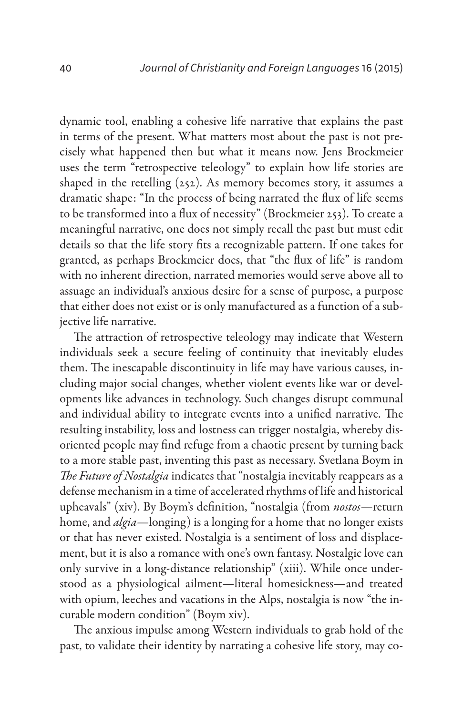dynamic tool, enabling a cohesive life narrative that explains the past in terms of the present. What matters most about the past is not precisely what happened then but what it means now. Jens Brockmeier uses the term "retrospective teleology" to explain how life stories are shaped in the retelling  $(252)$ . As memory becomes story, it assumes a dramatic shape: "In the process of being narrated the flux of life seems to be transformed into a flux of necessity" (Brockmeier 253). To create a meaningful narrative, one does not simply recall the past but must edit details so that the life story fits a recognizable pattern. If one takes for granted, as perhaps Brockmeier does, that "the flux of life" is random with no inherent direction, narrated memories would serve above all to assuage an individual's anxious desire for a sense of purpose, a purpose that either does not exist or is only manufactured as a function of a subjective life narrative.

The attraction of retrospective teleology may indicate that Western individuals seek a secure feeling of continuity that inevitably eludes them. The inescapable discontinuity in life may have various causes, including major social changes, whether violent events like war or developments like advances in technology. Such changes disrupt communal and individual ability to integrate events into a unified narrative. The resulting instability, loss and lostness can trigger nostalgia, whereby disoriented people may find refuge from a chaotic present by turning back to a more stable past, inventing this past as necessary. Svetlana Boym in *The Future of Nostalgia* indicates that "nostalgia inevitably reappears as a defense mechanism in a time of accelerated rhythms of life and historical upheavals" (xiv). By Boym's definition, "nostalgia (from *nostos*—return home, and *algia*—longing) is a longing for a home that no longer exists or that has never existed. Nostalgia is a sentiment of loss and displacement, but it is also a romance with one's own fantasy. Nostalgic love can only survive in a long-distance relationship" (xiii). While once understood as a physiological ailment—literal homesickness—and treated with opium, leeches and vacations in the Alps, nostalgia is now "the incurable modern condition" (Boym xiv).

The anxious impulse among Western individuals to grab hold of the past, to validate their identity by narrating a cohesive life story, may co-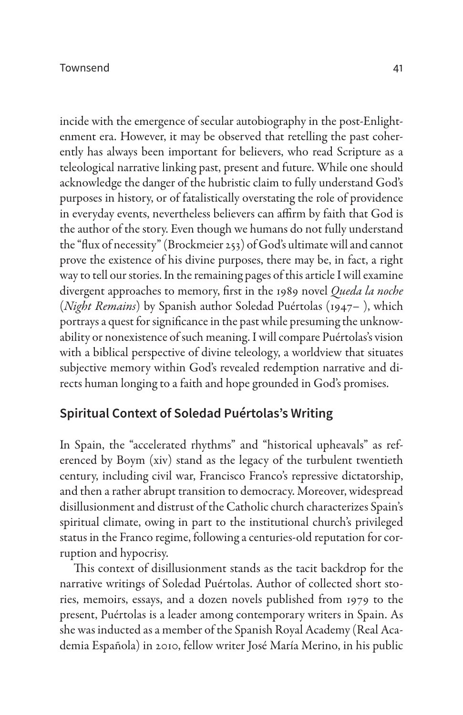#### Townsend 41

incide with the emergence of secular autobiography in the post-Enlightenment era. However, it may be observed that retelling the past coherently has always been important for believers, who read Scripture as a teleological narrative linking past, present and future. While one should acknowledge the danger of the hubristic claim to fully understand God's purposes in history, or of fatalistically overstating the role of providence in everyday events, nevertheless believers can affirm by faith that God is the author of the story. Even though we humans do not fully understand the "flux of necessity" (Brockmeier 253) of God's ultimate will and cannot prove the existence of his divine purposes, there may be, in fact, a right way to tell our stories. In the remaining pages of this article I will examine divergent approaches to memory, first in the 1989 novel *Queda la noche* (*Night Remains*) by Spanish author Soledad Puértolas (1947– ), which portrays a quest for significance in the past while presuming the unknowability or nonexistence of such meaning. I will compare Puértolas's vision with a biblical perspective of divine teleology, a worldview that situates subjective memory within God's revealed redemption narrative and directs human longing to a faith and hope grounded in God's promises.

### **Spiritual Context of Soledad Puértolas's Writing**

In Spain, the "accelerated rhythms" and "historical upheavals" as referenced by Boym (xiv) stand as the legacy of the turbulent twentieth century, including civil war, Francisco Franco's repressive dictatorship, and then a rather abrupt transition to democracy. Moreover, widespread disillusionment and distrust of the Catholic church characterizes Spain's spiritual climate, owing in part to the institutional church's privileged status in the Franco regime, following a centuries-old reputation for corruption and hypocrisy.

This context of disillusionment stands as the tacit backdrop for the narrative writings of Soledad Puértolas. Author of collected short stories, memoirs, essays, and a dozen novels published from 1979 to the present, Puértolas is a leader among contemporary writers in Spain. As she was inducted as a member of the Spanish Royal Academy (Real Academia Española) in 2010, fellow writer José María Merino, in his public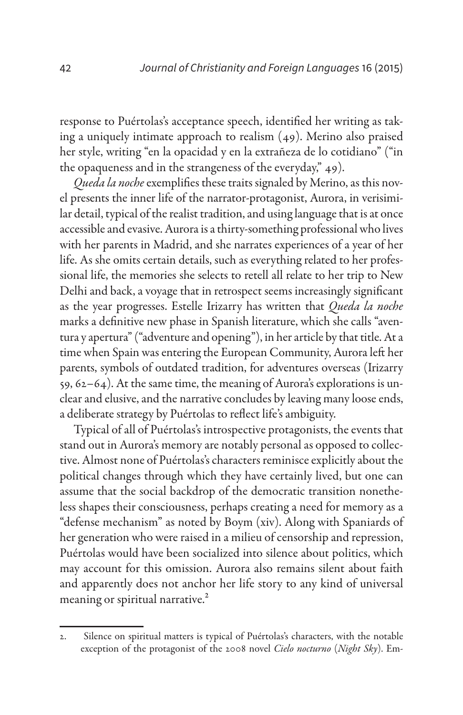response to Puértolas's acceptance speech, identified her writing as taking a uniquely intimate approach to realism (49). Merino also praised her style, writing "en la opacidad y en la extrañeza de lo cotidiano" ("in the opaqueness and in the strangeness of the everyday," 49).

*Queda la noche* exemplifies these traits signaled by Merino, as this novel presents the inner life of the narrator-protagonist, Aurora, in verisimilar detail, typical of the realist tradition, and using language that is at once accessible and evasive. Aurora is a thirty-something professional who lives with her parents in Madrid, and she narrates experiences of a year of her life. As she omits certain details, such as everything related to her professional life, the memories she selects to retell all relate to her trip to New Delhi and back, a voyage that in retrospect seems increasingly significant as the year progresses. Estelle Irizarry has written that *Queda la noche* marks a definitive new phase in Spanish literature, which she calls "aventura y apertura" ("adventure and opening"), in her article by that title. At a time when Spain was entering the European Community, Aurora left her parents, symbols of outdated tradition, for adventures overseas (Irizarry 59, 62–64). At the same time, the meaning of Aurora's explorations is unclear and elusive, and the narrative concludes by leaving many loose ends, a deliberate strategy by Puértolas to reflect life's ambiguity.

Typical of all of Puértolas's introspective protagonists, the events that stand out in Aurora's memory are notably personal as opposed to collective. Almost none of Puértolas's characters reminisce explicitly about the political changes through which they have certainly lived, but one can assume that the social backdrop of the democratic transition nonetheless shapes their consciousness, perhaps creating a need for memory as a "defense mechanism" as noted by Boym (xiv). Along with Spaniards of her generation who were raised in a milieu of censorship and repression, Puértolas would have been socialized into silence about politics, which may account for this omission. Aurora also remains silent about faith and apparently does not anchor her life story to any kind of universal meaning or spiritual narrative.<sup>2</sup>

<sup>2.</sup> Silence on spiritual matters is typical of Puértolas's characters, with the notable exception of the protagonist of the 2008 novel *Cielo nocturno* (*Night Sky*). Em-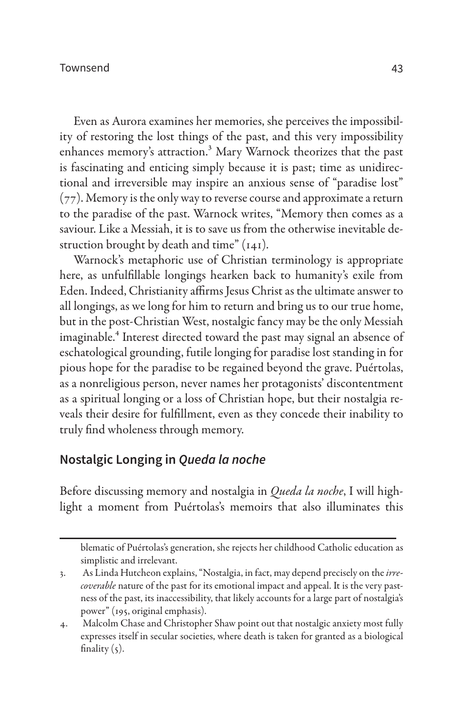Even as Aurora examines her memories, she perceives the impossibility of restoring the lost things of the past, and this very impossibility enhances memory's attraction.<sup>3</sup> Mary Warnock theorizes that the past is fascinating and enticing simply because it is past; time as unidirectional and irreversible may inspire an anxious sense of "paradise lost" (77). Memory is the only way to reverse course and approximate a return to the paradise of the past. Warnock writes, "Memory then comes as a saviour. Like a Messiah, it is to save us from the otherwise inevitable destruction brought by death and time" (141).

Warnock's metaphoric use of Christian terminology is appropriate here, as unfulfillable longings hearken back to humanity's exile from Eden. Indeed, Christianity affirms Jesus Christ as the ultimate answer to all longings, as we long for him to return and bring us to our true home, but in the post-Christian West, nostalgic fancy may be the only Messiah imaginable.<sup>4</sup> Interest directed toward the past may signal an absence of eschatological grounding, futile longing for paradise lost standing in for pious hope for the paradise to be regained beyond the grave. Puértolas, as a nonreligious person, never names her protagonists' discontentment as a spiritual longing or a loss of Christian hope, but their nostalgia reveals their desire for fulfillment, even as they concede their inability to truly find wholeness through memory.

## **Nostalgic Longing in** *Queda la noche*

Before discussing memory and nostalgia in *Queda la noche*, I will highlight a moment from Puértolas's memoirs that also illuminates this

blematic of Puértolas's generation, she rejects her childhood Catholic education as simplistic and irrelevant.

<sup>3.</sup> As Linda Hutcheon explains, "Nostalgia, in fact, may depend precisely on the *irrecoverable* nature of the past for its emotional impact and appeal. It is the very pastness of the past, its inaccessibility, that likely accounts for a large part of nostalgia's power" (195, original emphasis).

<sup>4.</sup> Malcolm Chase and Christopher Shaw point out that nostalgic anxiety most fully expresses itself in secular societies, where death is taken for granted as a biological finality  $(5)$ .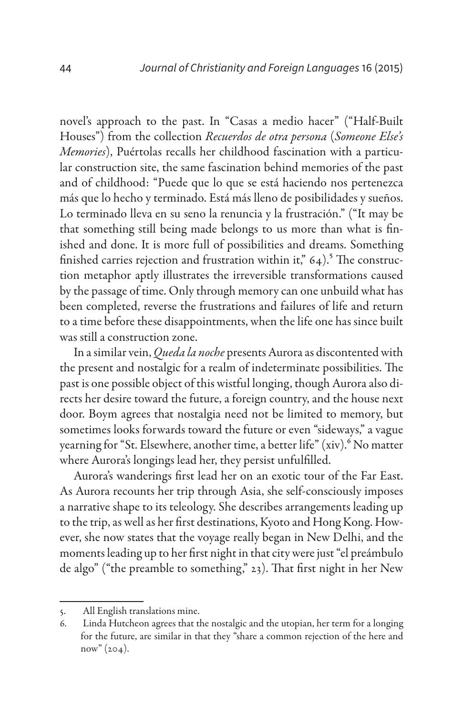novel's approach to the past. In "Casas a medio hacer" ("Half-Built Houses") from the collection *Recuerdos de otra persona* (*Someone Else's Memories*), Puértolas recalls her childhood fascination with a particular construction site, the same fascination behind memories of the past and of childhood: "Puede que lo que se está haciendo nos pertenezca más que lo hecho y terminado. Está más lleno de posibilidades y sueños. Lo terminado lleva en su seno la renuncia y la frustración." ("It may be that something still being made belongs to us more than what is finished and done. It is more full of possibilities and dreams. Something finished carries rejection and frustration within it,"  $64$ ).<sup>5</sup> The construction metaphor aptly illustrates the irreversible transformations caused by the passage of time. Only through memory can one unbuild what has been completed, reverse the frustrations and failures of life and return to a time before these disappointments, when the life one has since built was still a construction zone.

In a similar vein, *Queda la noche* presents Aurora as discontented with the present and nostalgic for a realm of indeterminate possibilities. The past is one possible object of this wistful longing, though Aurora also directs her desire toward the future, a foreign country, and the house next door. Boym agrees that nostalgia need not be limited to memory, but sometimes looks forwards toward the future or even "sideways," a vague yearning for "St. Elsewhere, another time, a better life" (xiv). <sup>6</sup> No matter where Aurora's longings lead her, they persist unfulfilled.

Aurora's wanderings first lead her on an exotic tour of the Far East. As Aurora recounts her trip through Asia, she self-consciously imposes a narrative shape to its teleology. She describes arrangements leading up to the trip, as well as her first destinations, Kyoto and Hong Kong. However, she now states that the voyage really began in New Delhi, and the moments leading up to her first night in that city were just "el preámbulo de algo" ("the preamble to something," 23). That first night in her New

<sup>5.</sup> All English translations mine.

<sup>6.</sup> Linda Hutcheon agrees that the nostalgic and the utopian, her term for a longing for the future, are similar in that they "share a common rejection of the here and  $now''(204).$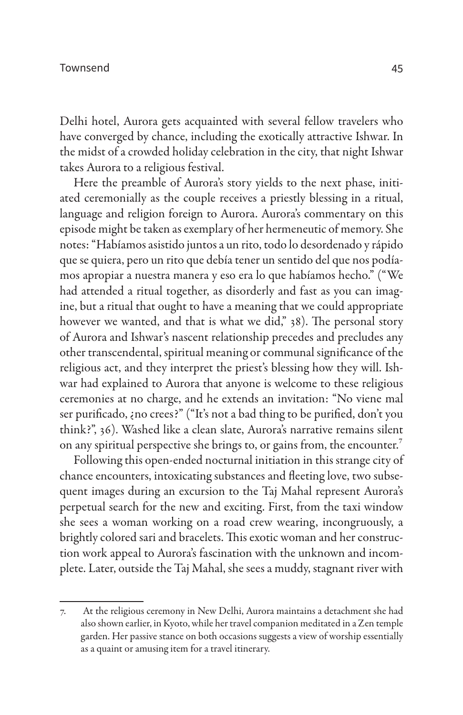Delhi hotel, Aurora gets acquainted with several fellow travelers who have converged by chance, including the exotically attractive Ishwar. In the midst of a crowded holiday celebration in the city, that night Ishwar takes Aurora to a religious festival.

Here the preamble of Aurora's story yields to the next phase, initiated ceremonially as the couple receives a priestly blessing in a ritual, language and religion foreign to Aurora. Aurora's commentary on this episode might be taken as exemplary of her hermeneutic of memory. She notes: "Habíamos asistido juntos a un rito, todo lo desordenado y rápido que se quiera, pero un rito que debía tener un sentido del que nos podíamos apropiar a nuestra manera y eso era lo que habíamos hecho." ("We had attended a ritual together, as disorderly and fast as you can imagine, but a ritual that ought to have a meaning that we could appropriate however we wanted, and that is what we did," 38). The personal story of Aurora and Ishwar's nascent relationship precedes and precludes any other transcendental, spiritual meaning or communal significance of the religious act, and they interpret the priest's blessing how they will. Ishwar had explained to Aurora that anyone is welcome to these religious ceremonies at no charge, and he extends an invitation: "No viene mal ser purificado, ¿no crees?" ("It's not a bad thing to be purified, don't you think?", 36). Washed like a clean slate, Aurora's narrative remains silent on any spiritual perspective she brings to, or gains from, the encounter.<sup>7</sup>

Following this open-ended nocturnal initiation in this strange city of chance encounters, intoxicating substances and fleeting love, two subsequent images during an excursion to the Taj Mahal represent Aurora's perpetual search for the new and exciting. First, from the taxi window she sees a woman working on a road crew wearing, incongruously, a brightly colored sari and bracelets. This exotic woman and her construction work appeal to Aurora's fascination with the unknown and incomplete. Later, outside the Taj Mahal, she sees a muddy, stagnant river with

<sup>7.</sup> At the religious ceremony in New Delhi, Aurora maintains a detachment she had also shown earlier, in Kyoto, while her travel companion meditated in a Zen temple garden. Her passive stance on both occasions suggests a view of worship essentially as a quaint or amusing item for a travel itinerary.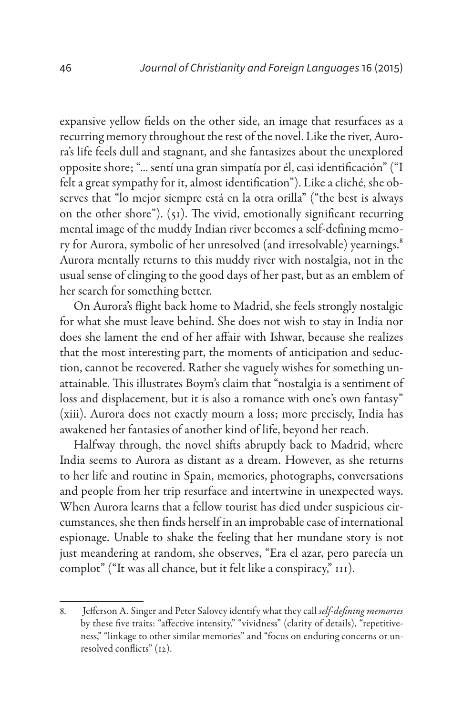expansive yellow fields on the other side, an image that resurfaces as a recurring memory throughout the rest of the novel. Like the river, Aurora's life feels dull and stagnant, and she fantasizes about the unexplored opposite shore; "... sentí una gran simpatía por él, casi identificación" ("I felt a great sympathy for it, almost identification"). Like a cliché, she observes that "lo mejor siempre está en la otra orilla" ("the best is always on the other shore"). (51). The vivid, emotionally significant recurring mental image of the muddy Indian river becomes a self-defining memory for Aurora, symbolic of her unresolved (and irresolvable) yearnings.<sup>8</sup> Aurora mentally returns to this muddy river with nostalgia, not in the usual sense of clinging to the good days of her past, but as an emblem of her search for something better.

On Aurora's flight back home to Madrid, she feels strongly nostalgic for what she must leave behind. She does not wish to stay in India nor does she lament the end of her affair with Ishwar, because she realizes that the most interesting part, the moments of anticipation and seduction, cannot be recovered. Rather she vaguely wishes for something unattainable. This illustrates Boym's claim that "nostalgia is a sentiment of loss and displacement, but it is also a romance with one's own fantasy" (xiii). Aurora does not exactly mourn a loss; more precisely, India has awakened her fantasies of another kind of life, beyond her reach.

Halfway through, the novel shifts abruptly back to Madrid, where India seems to Aurora as distant as a dream. However, as she returns to her life and routine in Spain, memories, photographs, conversations and people from her trip resurface and intertwine in unexpected ways. When Aurora learns that a fellow tourist has died under suspicious circumstances, she then finds herself in an improbable case of international espionage. Unable to shake the feeling that her mundane story is not just meandering at random, she observes, "Era el azar, pero parecía un complot" ("It was all chance, but it felt like a conspiracy," 111).

<sup>8.</sup> Jefferson A. Singer and Peter Salovey identify what they call *self-defining memories* by these five traits: "affective intensity," "vividness" (clarity of details), "repetitiveness," "linkage to other similar memories" and "focus on enduring concerns or unresolved conflicts" (12).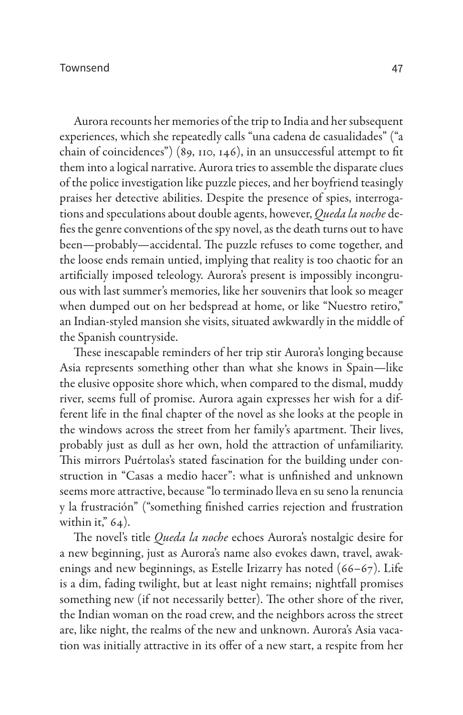Aurora recounts her memories of the trip to India and her subsequent experiences, which she repeatedly calls "una cadena de casualidades" ("a chain of coincidences") (89, 110, 146), in an unsuccessful attempt to fit them into a logical narrative. Aurora tries to assemble the disparate clues of the police investigation like puzzle pieces, and her boyfriend teasingly praises her detective abilities. Despite the presence of spies, interrogations and speculations about double agents, however, *Queda la noche* defies the genre conventions of the spy novel, as the death turns out to have been—probably—accidental. The puzzle refuses to come together, and the loose ends remain untied, implying that reality is too chaotic for an artificially imposed teleology. Aurora's present is impossibly incongruous with last summer's memories, like her souvenirs that look so meager when dumped out on her bedspread at home, or like "Nuestro retiro," an Indian-styled mansion she visits, situated awkwardly in the middle of the Spanish countryside.

These inescapable reminders of her trip stir Aurora's longing because Asia represents something other than what she knows in Spain—like the elusive opposite shore which, when compared to the dismal, muddy river, seems full of promise. Aurora again expresses her wish for a different life in the final chapter of the novel as she looks at the people in the windows across the street from her family's apartment. Their lives, probably just as dull as her own, hold the attraction of unfamiliarity. This mirrors Puértolas's stated fascination for the building under construction in "Casas a medio hacer": what is unfinished and unknown seems more attractive, because "lo terminado lleva en su seno la renuncia y la frustración" ("something finished carries rejection and frustration within it,"  $64$ ).

The novel's title *Queda la noche* echoes Aurora's nostalgic desire for a new beginning, just as Aurora's name also evokes dawn, travel, awakenings and new beginnings, as Estelle Irizarry has noted (66–67). Life is a dim, fading twilight, but at least night remains; nightfall promises something new (if not necessarily better). The other shore of the river, the Indian woman on the road crew, and the neighbors across the street are, like night, the realms of the new and unknown. Aurora's Asia vacation was initially attractive in its offer of a new start, a respite from her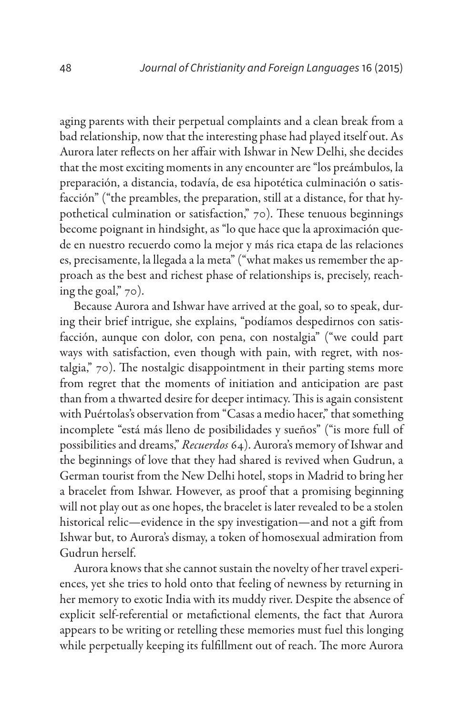aging parents with their perpetual complaints and a clean break from a bad relationship, now that the interesting phase had played itself out. As Aurora later reflects on her affair with Ishwar in New Delhi, she decides that the most exciting moments in any encounter are "los preámbulos, la preparación, a distancia, todavía, de esa hipotética culminación o satisfacción" ("the preambles, the preparation, still at a distance, for that hypothetical culmination or satisfaction," 70). These tenuous beginnings become poignant in hindsight, as "lo que hace que la aproximación quede en nuestro recuerdo como la mejor y más rica etapa de las relaciones es, precisamente, la llegada a la meta" ("what makes us remember the approach as the best and richest phase of relationships is, precisely, reaching the goal," 70).

Because Aurora and Ishwar have arrived at the goal, so to speak, during their brief intrigue, she explains, "podíamos despedirnos con satisfacción, aunque con dolor, con pena, con nostalgia" ("we could part ways with satisfaction, even though with pain, with regret, with nostalgia," 70). The nostalgic disappointment in their parting stems more from regret that the moments of initiation and anticipation are past than from a thwarted desire for deeper intimacy. This is again consistent with Puértolas's observation from "Casas a medio hacer," that something incomplete "está más lleno de posibilidades y sueños" ("is more full of possibilities and dreams," *Recuerdos* 64). Aurora's memory of Ishwar and the beginnings of love that they had shared is revived when Gudrun, a German tourist from the New Delhi hotel, stops in Madrid to bring her a bracelet from Ishwar. However, as proof that a promising beginning will not play out as one hopes, the bracelet is later revealed to be a stolen historical relic—evidence in the spy investigation—and not a gift from Ishwar but, to Aurora's dismay, a token of homosexual admiration from Gudrun herself.

Aurora knows that she cannot sustain the novelty of her travel experiences, yet she tries to hold onto that feeling of newness by returning in her memory to exotic India with its muddy river. Despite the absence of explicit self-referential or metafictional elements, the fact that Aurora appears to be writing or retelling these memories must fuel this longing while perpetually keeping its fulfillment out of reach. The more Aurora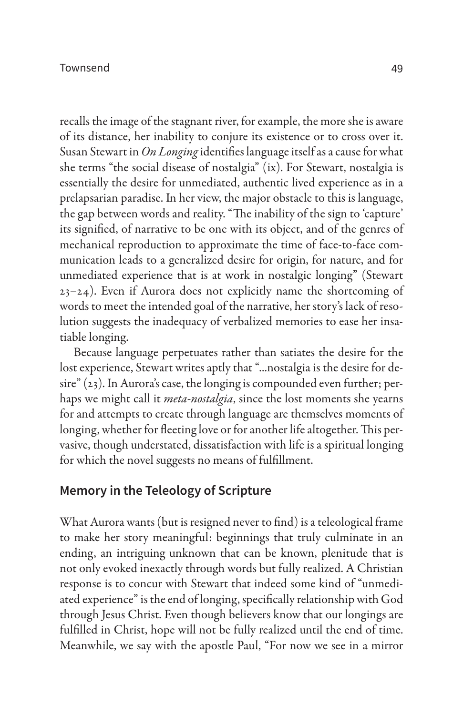recalls the image of the stagnant river, for example, the more she is aware of its distance, her inability to conjure its existence or to cross over it. Susan Stewart in *On Longing* identifies language itself as a cause for what she terms "the social disease of nostalgia" (ix). For Stewart, nostalgia is essentially the desire for unmediated, authentic lived experience as in a prelapsarian paradise. In her view, the major obstacle to this is language, the gap between words and reality. "The inability of the sign to 'capture' its signified, of narrative to be one with its object, and of the genres of mechanical reproduction to approximate the time of face-to-face communication leads to a generalized desire for origin, for nature, and for unmediated experience that is at work in nostalgic longing" (Stewart 23–24). Even if Aurora does not explicitly name the shortcoming of words to meet the intended goal of the narrative, her story's lack of resolution suggests the inadequacy of verbalized memories to ease her insatiable longing.

Because language perpetuates rather than satiates the desire for the lost experience, Stewart writes aptly that "...nostalgia is the desire for desire" (23). In Aurora's case, the longing is compounded even further; perhaps we might call it *meta-nostalgia*, since the lost moments she yearns for and attempts to create through language are themselves moments of longing, whether for fleeting love or for another life altogether. This pervasive, though understated, dissatisfaction with life is a spiritual longing for which the novel suggests no means of fulfillment.

### **Memory in the Teleology of Scripture**

What Aurora wants (but is resigned never to find) is a teleological frame to make her story meaningful: beginnings that truly culminate in an ending, an intriguing unknown that can be known, plenitude that is not only evoked inexactly through words but fully realized. A Christian response is to concur with Stewart that indeed some kind of "unmediated experience" is the end of longing, specifically relationship with God through Jesus Christ. Even though believers know that our longings are fulfilled in Christ, hope will not be fully realized until the end of time. Meanwhile, we say with the apostle Paul, "For now we see in a mirror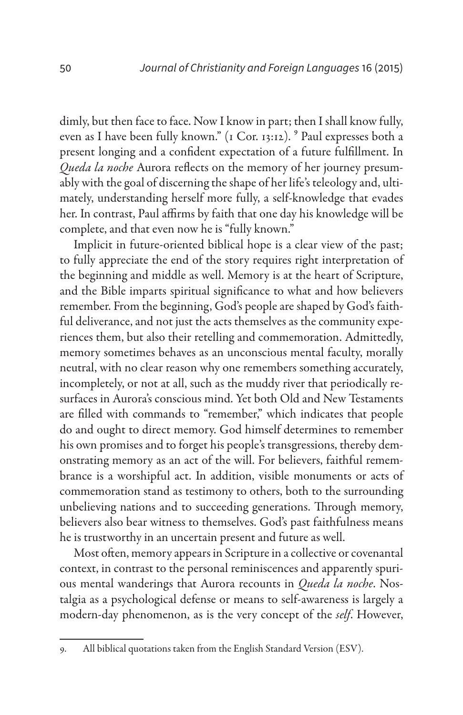dimly, but then face to face. Now I know in part; then I shall know fully, even as I have been fully known." (1 Cor. 13:12). <sup>9</sup> Paul expresses both a present longing and a confident expectation of a future fulfillment. In *Queda la noche* Aurora reflects on the memory of her journey presumably with the goal of discerning the shape of her life's teleology and, ultimately, understanding herself more fully, a self-knowledge that evades her. In contrast, Paul affirms by faith that one day his knowledge will be complete, and that even now he is "fully known."

Implicit in future-oriented biblical hope is a clear view of the past; to fully appreciate the end of the story requires right interpretation of the beginning and middle as well. Memory is at the heart of Scripture, and the Bible imparts spiritual significance to what and how believers remember. From the beginning, God's people are shaped by God's faithful deliverance, and not just the acts themselves as the community experiences them, but also their retelling and commemoration. Admittedly, memory sometimes behaves as an unconscious mental faculty, morally neutral, with no clear reason why one remembers something accurately, incompletely, or not at all, such as the muddy river that periodically resurfaces in Aurora's conscious mind. Yet both Old and New Testaments are filled with commands to "remember," which indicates that people do and ought to direct memory. God himself determines to remember his own promises and to forget his people's transgressions, thereby demonstrating memory as an act of the will. For believers, faithful remembrance is a worshipful act. In addition, visible monuments or acts of commemoration stand as testimony to others, both to the surrounding unbelieving nations and to succeeding generations. Through memory, believers also bear witness to themselves. God's past faithfulness means he is trustworthy in an uncertain present and future as well.

Most often, memory appears in Scripture in a collective or covenantal context, in contrast to the personal reminiscences and apparently spurious mental wanderings that Aurora recounts in *Queda la noche*. Nostalgia as a psychological defense or means to self-awareness is largely a modern-day phenomenon, as is the very concept of the *self*. However,

<sup>9.</sup> All biblical quotations taken from the English Standard Version (ESV).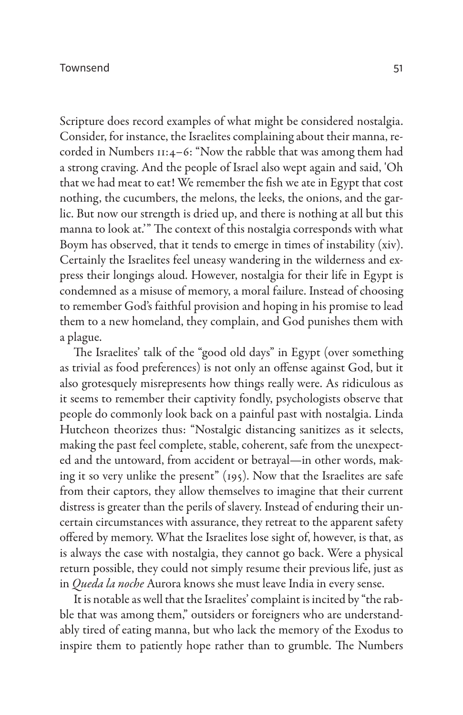#### Townsend 51

Scripture does record examples of what might be considered nostalgia. Consider, for instance, the Israelites complaining about their manna, recorded in Numbers 11:4–6: "Now the rabble that was among them had a strong craving. And the people of Israel also wept again and said, 'Oh that we had meat to eat! We remember the fish we ate in Egypt that cost nothing, the cucumbers, the melons, the leeks, the onions, and the garlic. But now our strength is dried up, and there is nothing at all but this manna to look at.'" The context of this nostalgia corresponds with what Boym has observed, that it tends to emerge in times of instability (xiv). Certainly the Israelites feel uneasy wandering in the wilderness and express their longings aloud. However, nostalgia for their life in Egypt is condemned as a misuse of memory, a moral failure. Instead of choosing to remember God's faithful provision and hoping in his promise to lead them to a new homeland, they complain, and God punishes them with a plague.

The Israelites' talk of the "good old days" in Egypt (over something as trivial as food preferences) is not only an offense against God, but it also grotesquely misrepresents how things really were. As ridiculous as it seems to remember their captivity fondly, psychologists observe that people do commonly look back on a painful past with nostalgia. Linda Hutcheon theorizes thus: "Nostalgic distancing sanitizes as it selects, making the past feel complete, stable, coherent, safe from the unexpected and the untoward, from accident or betrayal—in other words, making it so very unlike the present" (195). Now that the Israelites are safe from their captors, they allow themselves to imagine that their current distress is greater than the perils of slavery. Instead of enduring their uncertain circumstances with assurance, they retreat to the apparent safety offered by memory. What the Israelites lose sight of, however, is that, as is always the case with nostalgia, they cannot go back. Were a physical return possible, they could not simply resume their previous life, just as in *Queda la noche* Aurora knows she must leave India in every sense.

It is notable as well that the Israelites' complaint is incited by "the rabble that was among them," outsiders or foreigners who are understandably tired of eating manna, but who lack the memory of the Exodus to inspire them to patiently hope rather than to grumble. The Numbers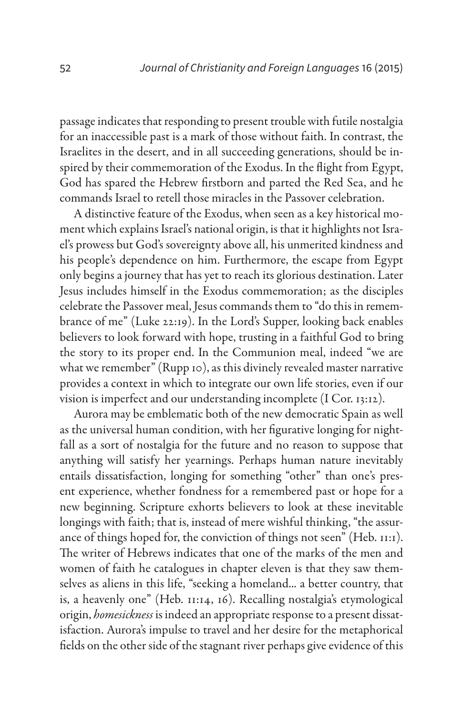passage indicates that responding to present trouble with futile nostalgia for an inaccessible past is a mark of those without faith. In contrast, the Israelites in the desert, and in all succeeding generations, should be inspired by their commemoration of the Exodus. In the flight from Egypt, God has spared the Hebrew firstborn and parted the Red Sea, and he commands Israel to retell those miracles in the Passover celebration.

A distinctive feature of the Exodus, when seen as a key historical moment which explains Israel's national origin, is that it highlights not Israel's prowess but God's sovereignty above all, his unmerited kindness and his people's dependence on him. Furthermore, the escape from Egypt only begins a journey that has yet to reach its glorious destination. Later Jesus includes himself in the Exodus commemoration; as the disciples celebrate the Passover meal, Jesus commands them to "do this in remembrance of me" (Luke 22:19). In the Lord's Supper, looking back enables believers to look forward with hope, trusting in a faithful God to bring the story to its proper end. In the Communion meal, indeed "we are what we remember" (Rupp 10), as this divinely revealed master narrative provides a context in which to integrate our own life stories, even if our vision is imperfect and our understanding incomplete (I Cor. 13:12).

Aurora may be emblematic both of the new democratic Spain as well as the universal human condition, with her figurative longing for nightfall as a sort of nostalgia for the future and no reason to suppose that anything will satisfy her yearnings. Perhaps human nature inevitably entails dissatisfaction, longing for something "other" than one's present experience, whether fondness for a remembered past or hope for a new beginning. Scripture exhorts believers to look at these inevitable longings with faith; that is, instead of mere wishful thinking, "the assurance of things hoped for, the conviction of things not seen" (Heb. 11:1). The writer of Hebrews indicates that one of the marks of the men and women of faith he catalogues in chapter eleven is that they saw themselves as aliens in this life, "seeking a homeland... a better country, that is, a heavenly one" (Heb. 11:14, 16). Recalling nostalgia's etymological origin, *homesickness* is indeed an appropriate response to a present dissatisfaction. Aurora's impulse to travel and her desire for the metaphorical fields on the other side of the stagnant river perhaps give evidence of this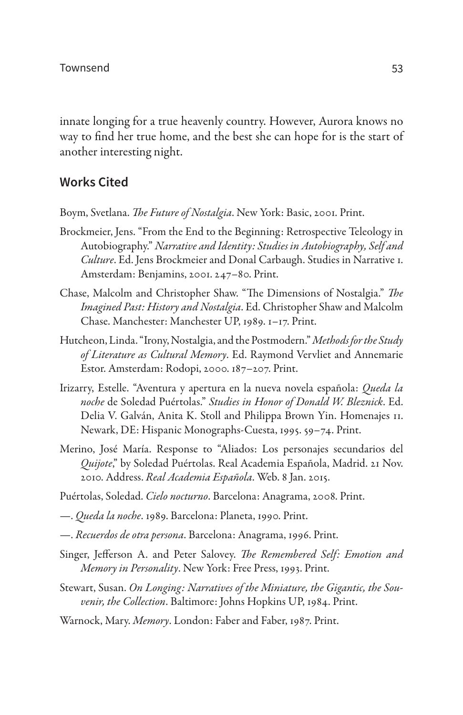innate longing for a true heavenly country. However, Aurora knows no way to find her true home, and the best she can hope for is the start of another interesting night.

#### **Works Cited**

Boym, Svetlana. *The Future of Nostalgia*. New York: Basic, 2001. Print.

- Brockmeier, Jens. "From the End to the Beginning: Retrospective Teleology in Autobiography." *Narrative and Identity: Studies in Autobiography, Self and Culture*. Ed. Jens Brockmeier and Donal Carbaugh. Studies in Narrative 1. Amsterdam: Benjamins, 2001. 247–80. Print.
- Chase, Malcolm and Christopher Shaw. "The Dimensions of Nostalgia." *The Imagined Past: History and Nostalgia*. Ed. Christopher Shaw and Malcolm Chase. Manchester: Manchester UP, 1989. 1–17. Print.
- Hutcheon, Linda. "Irony, Nostalgia, and the Postmodern." *Methods for the Study of Literature as Cultural Memory*. Ed. Raymond Vervliet and Annemarie Estor. Amsterdam: Rodopi, 2000. 187–207. Print.
- Irizarry, Estelle. "Aventura y apertura en la nueva novela española: *Queda la noche* de Soledad Puértolas." *Studies in Honor of Donald W. Bleznick*. Ed. Delia V. Galván, Anita K. Stoll and Philippa Brown Yin. Homenajes 11. Newark, DE: Hispanic Monographs-Cuesta, 1995. 59–74. Print.
- Merino, José María. Response to "Aliados: Los personajes secundarios del *Quijote*," by Soledad Puértolas. Real Academia Española, Madrid. 21 Nov. 2010. Address. *Real Academia Española*. Web. 8 Jan. 2015.
- Puértolas, Soledad. *Cielo nocturno*. Barcelona: Anagrama, 2008. Print.
- —. *Queda la noche*. 1989. Barcelona: Planeta, 1990. Print.
- —. *Recuerdos de otra persona*. Barcelona: Anagrama, 1996. Print.
- Singer, Jefferson A. and Peter Salovey. *The Remembered Self: Emotion and Memory in Personality*. New York: Free Press, 1993. Print.
- Stewart, Susan. *On Longing: Narratives of the Miniature, the Gigantic, the Souvenir, the Collection*. Baltimore: Johns Hopkins UP, 1984. Print.
- Warnock, Mary. *Memory*. London: Faber and Faber, 1987. Print.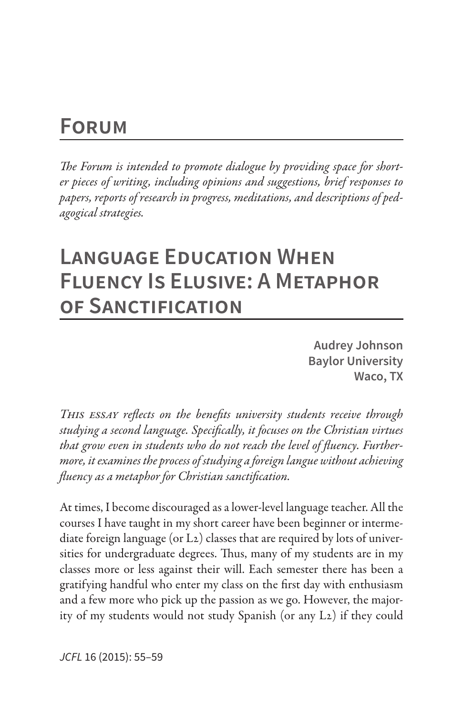# **Forum**

*The Forum is intended to promote dialogue by providing space for shorter pieces of writing, including opinions and suggestions, brief responses to papers, reports of research in progress, meditations, and descriptions of pedagogical strategies.*

# **Language Education When Fluency Is Elusive: A Metaphor of Sanctification**

**Audrey Johnson Baylor University Waco, TX**

*This essay reflects on the benefits university students receive through studying a second language. Specifically, it focuses on the Christian virtues that grow even in students who do not reach the level of fluency. Furthermore, it examines the process of studying a foreign langue without achieving fluency as a metaphor for Christian sanctification.*

At times, I become discouraged as a lower-level language teacher. All the courses I have taught in my short career have been beginner or intermediate foreign language (or L2) classes that are required by lots of universities for undergraduate degrees. Thus, many of my students are in my classes more or less against their will. Each semester there has been a gratifying handful who enter my class on the first day with enthusiasm and a few more who pick up the passion as we go. However, the majority of my students would not study Spanish (or any L2) if they could

*JCFL* 16 (2015): 55–59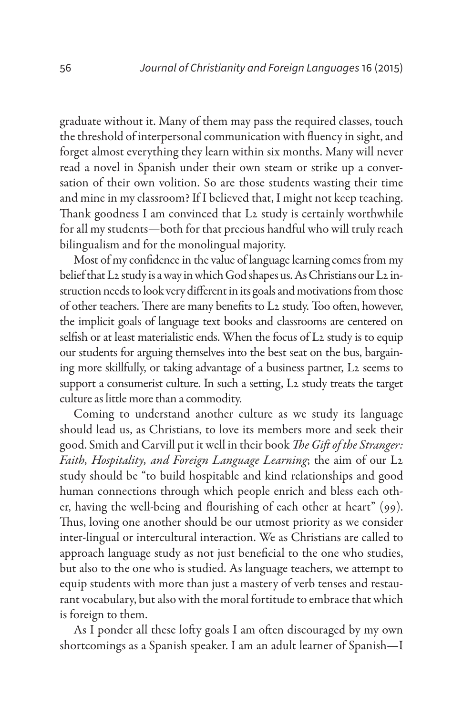graduate without it. Many of them may pass the required classes, touch the threshold of interpersonal communication with fluency in sight, and forget almost everything they learn within six months. Many will never read a novel in Spanish under their own steam or strike up a conversation of their own volition. So are those students wasting their time and mine in my classroom? If I believed that, I might not keep teaching. Thank goodness I am convinced that L2 study is certainly worthwhile for all my students—both for that precious handful who will truly reach bilingualism and for the monolingual majority.

Most of my confidence in the value of language learning comes from my belief that L2 study is a way in which God shapes us. As Christians our L2 instruction needs to look very different in its goals and motivations from those of other teachers. There are many benefits to L2 study. Too often, however, the implicit goals of language text books and classrooms are centered on selfish or at least materialistic ends. When the focus of L2 study is to equip our students for arguing themselves into the best seat on the bus, bargaining more skillfully, or taking advantage of a business partner, L2 seems to support a consumerist culture. In such a setting, L2 study treats the target culture as little more than a commodity.

Coming to understand another culture as we study its language should lead us, as Christians, to love its members more and seek their good. Smith and Carvill put it well in their book *The Gift of the Stranger: Faith, Hospitality, and Foreign Language Learning*; the aim of our L2 study should be "to build hospitable and kind relationships and good human connections through which people enrich and bless each other, having the well-being and flourishing of each other at heart" (99). Thus, loving one another should be our utmost priority as we consider inter-lingual or intercultural interaction. We as Christians are called to approach language study as not just beneficial to the one who studies, but also to the one who is studied. As language teachers, we attempt to equip students with more than just a mastery of verb tenses and restaurant vocabulary, but also with the moral fortitude to embrace that which is foreign to them.

As I ponder all these lofty goals I am often discouraged by my own shortcomings as a Spanish speaker. I am an adult learner of Spanish—I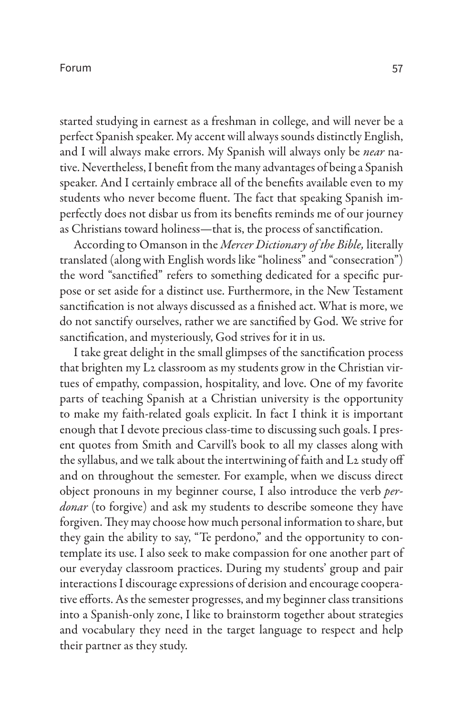#### Forum

started studying in earnest as a freshman in college, and will never be a perfect Spanish speaker. My accent will always sounds distinctly English, and I will always make errors. My Spanish will always only be *near* native. Nevertheless, I benefit from the many advantages of being a Spanish speaker. And I certainly embrace all of the benefits available even to my students who never become fluent. The fact that speaking Spanish imperfectly does not disbar us from its benefits reminds me of our journey as Christians toward holiness—that is, the process of sanctification.

According to Omanson in the *Mercer Dictionary of the Bible,* literally translated (along with English words like "holiness" and "consecration") the word "sanctified" refers to something dedicated for a specific purpose or set aside for a distinct use. Furthermore, in the New Testament sanctification is not always discussed as a finished act. What is more, we do not sanctify ourselves, rather we are sanctified by God. We strive for sanctification, and mysteriously, God strives for it in us.

I take great delight in the small glimpses of the sanctification process that brighten my L2 classroom as my students grow in the Christian virtues of empathy, compassion, hospitality, and love. One of my favorite parts of teaching Spanish at a Christian university is the opportunity to make my faith-related goals explicit. In fact I think it is important enough that I devote precious class-time to discussing such goals. I present quotes from Smith and Carvill's book to all my classes along with the syllabus, and we talk about the intertwining of faith and L2 study off and on throughout the semester. For example, when we discuss direct object pronouns in my beginner course, I also introduce the verb *perdonar* (to forgive) and ask my students to describe someone they have forgiven. They may choose how much personal information to share, but they gain the ability to say, "Te perdono," and the opportunity to contemplate its use. I also seek to make compassion for one another part of our everyday classroom practices. During my students' group and pair interactions I discourage expressions of derision and encourage cooperative efforts. As the semester progresses, and my beginner class transitions into a Spanish-only zone, I like to brainstorm together about strategies and vocabulary they need in the target language to respect and help their partner as they study.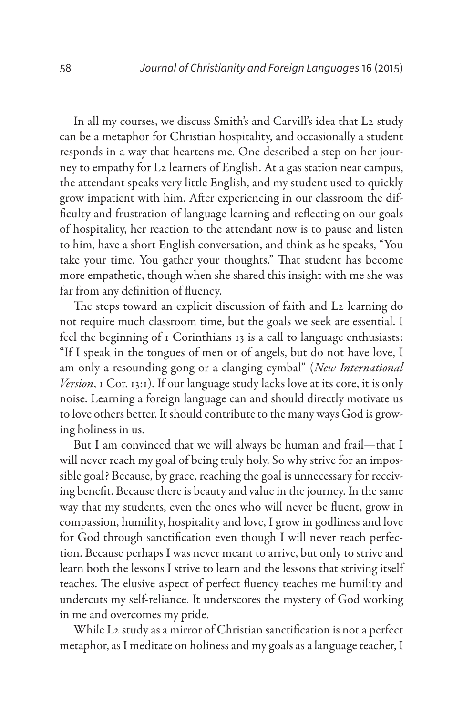In all my courses, we discuss Smith's and Carvill's idea that L2 study can be a metaphor for Christian hospitality, and occasionally a student responds in a way that heartens me. One described a step on her journey to empathy for L2 learners of English. At a gas station near campus, the attendant speaks very little English, and my student used to quickly grow impatient with him. After experiencing in our classroom the difficulty and frustration of language learning and reflecting on our goals of hospitality, her reaction to the attendant now is to pause and listen to him, have a short English conversation, and think as he speaks, "You take your time. You gather your thoughts." That student has become more empathetic, though when she shared this insight with me she was far from any definition of fluency.

The steps toward an explicit discussion of faith and L2 learning do not require much classroom time, but the goals we seek are essential. I feel the beginning of 1 Corinthians 13 is a call to language enthusiasts: "If I speak in the tongues of men or of angels, but do not have love, I am only a resounding gong or a clanging cymbal" (*New International Version*, 1 Cor. 13:1). If our language study lacks love at its core, it is only noise. Learning a foreign language can and should directly motivate us to love others better. It should contribute to the many ways God is growing holiness in us.

But I am convinced that we will always be human and frail—that I will never reach my goal of being truly holy. So why strive for an impossible goal? Because, by grace, reaching the goal is unnecessary for receiving benefit. Because there is beauty and value in the journey. In the same way that my students, even the ones who will never be fluent, grow in compassion, humility, hospitality and love, I grow in godliness and love for God through sanctification even though I will never reach perfection. Because perhaps I was never meant to arrive, but only to strive and learn both the lessons I strive to learn and the lessons that striving itself teaches. The elusive aspect of perfect fluency teaches me humility and undercuts my self-reliance. It underscores the mystery of God working in me and overcomes my pride.

While L2 study as a mirror of Christian sanctification is not a perfect metaphor, as I meditate on holiness and my goals as a language teacher, I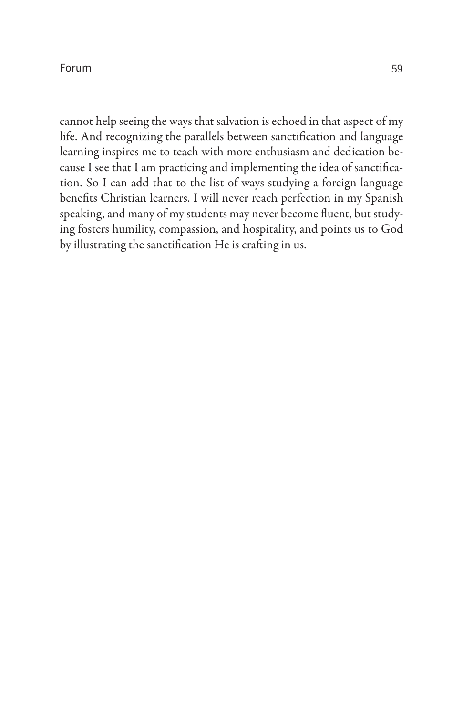#### Forum

cannot help seeing the ways that salvation is echoed in that aspect of my life. And recognizing the parallels between sanctification and language learning inspires me to teach with more enthusiasm and dedication because I see that I am practicing and implementing the idea of sanctification. So I can add that to the list of ways studying a foreign language benefits Christian learners. I will never reach perfection in my Spanish speaking, and many of my students may never become fluent, but studying fosters humility, compassion, and hospitality, and points us to God by illustrating the sanctification He is crafting in us.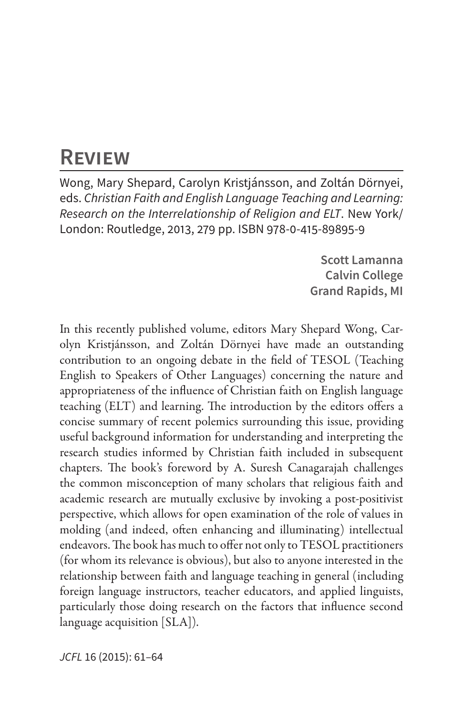## **Review**

Wong, Mary Shepard, Carolyn Kristjánsson, and Zoltán Dörnyei, eds. *Christian Faith and English Language Teaching and Learning: Research on the Interrelationship of Religion and ELT*. New York/ London: Routledge, 2013, 279 pp. ISBN 978-0-415-89895-9

> **Scott Lamanna Calvin College Grand Rapids, MI**

In this recently published volume, editors Mary Shepard Wong, Carolyn Kristjánsson, and Zoltán Dörnyei have made an outstanding contribution to an ongoing debate in the field of TESOL (Teaching English to Speakers of Other Languages) concerning the nature and appropriateness of the influence of Christian faith on English language teaching (ELT) and learning. The introduction by the editors offers a concise summary of recent polemics surrounding this issue, providing useful background information for understanding and interpreting the research studies informed by Christian faith included in subsequent chapters. The book's foreword by A. Suresh Canagarajah challenges the common misconception of many scholars that religious faith and academic research are mutually exclusive by invoking a post-positivist perspective, which allows for open examination of the role of values in molding (and indeed, often enhancing and illuminating) intellectual endeavors. The book has much to offer not only to TESOL practitioners (for whom its relevance is obvious), but also to anyone interested in the relationship between faith and language teaching in general (including foreign language instructors, teacher educators, and applied linguists, particularly those doing research on the factors that influence second language acquisition [SLA]).

*JCFL* 16 (2015): 61–64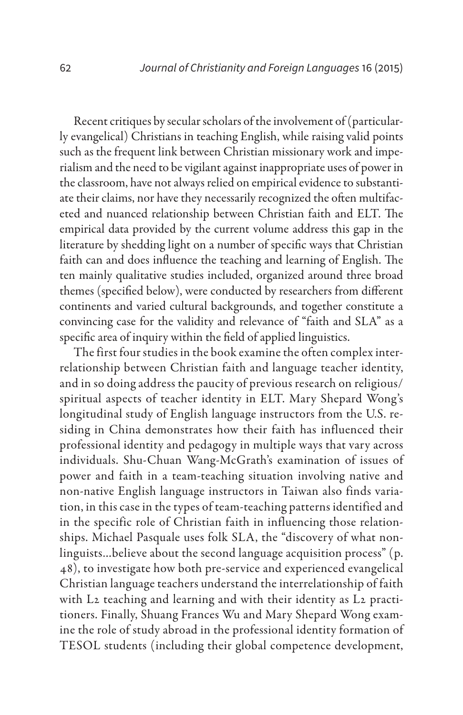Recent critiques by secular scholars of the involvement of (particularly evangelical) Christians in teaching English, while raising valid points such as the frequent link between Christian missionary work and imperialism and the need to be vigilant against inappropriate uses of power in the classroom, have not always relied on empirical evidence to substantiate their claims, nor have they necessarily recognized the often multifaceted and nuanced relationship between Christian faith and ELT. The empirical data provided by the current volume address this gap in the literature by shedding light on a number of specific ways that Christian faith can and does influence the teaching and learning of English. The ten mainly qualitative studies included, organized around three broad themes (specified below), were conducted by researchers from different continents and varied cultural backgrounds, and together constitute a convincing case for the validity and relevance of "faith and SLA" as a specific area of inquiry within the field of applied linguistics.

The first four studies in the book examine the often complex interrelationship between Christian faith and language teacher identity, and in so doing address the paucity of previous research on religious/ spiritual aspects of teacher identity in ELT. Mary Shepard Wong's longitudinal study of English language instructors from the U.S. residing in China demonstrates how their faith has influenced their professional identity and pedagogy in multiple ways that vary across individuals. Shu-Chuan Wang-McGrath's examination of issues of power and faith in a team-teaching situation involving native and non-native English language instructors in Taiwan also finds variation, in this case in the types of team-teaching patterns identified and in the specific role of Christian faith in influencing those relationships. Michael Pasquale uses folk SLA, the "discovery of what nonlinguists…believe about the second language acquisition process" (p. 48), to investigate how both pre-service and experienced evangelical Christian language teachers understand the interrelationship of faith with L2 teaching and learning and with their identity as L2 practitioners. Finally, Shuang Frances Wu and Mary Shepard Wong examine the role of study abroad in the professional identity formation of TESOL students (including their global competence development,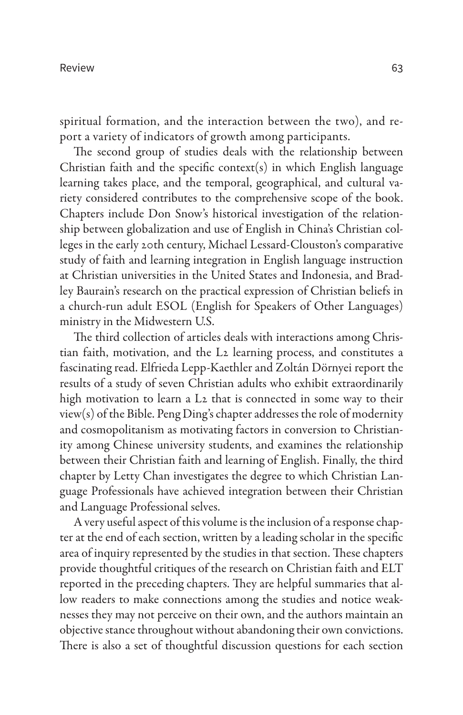spiritual formation, and the interaction between the two), and report a variety of indicators of growth among participants.

The second group of studies deals with the relationship between Christian faith and the specific context(s) in which English language learning takes place, and the temporal, geographical, and cultural variety considered contributes to the comprehensive scope of the book. Chapters include Don Snow's historical investigation of the relationship between globalization and use of English in China's Christian colleges in the early 20th century, Michael Lessard-Clouston's comparative study of faith and learning integration in English language instruction at Christian universities in the United States and Indonesia, and Bradley Baurain's research on the practical expression of Christian beliefs in a church-run adult ESOL (English for Speakers of Other Languages) ministry in the Midwestern U.S.

The third collection of articles deals with interactions among Christian faith, motivation, and the L2 learning process, and constitutes a fascinating read. Elfrieda Lepp-Kaethler and Zoltán Dörnyei report the results of a study of seven Christian adults who exhibit extraordinarily high motivation to learn a L2 that is connected in some way to their view(s) of the Bible. Peng Ding's chapter addresses the role of modernity and cosmopolitanism as motivating factors in conversion to Christianity among Chinese university students, and examines the relationship between their Christian faith and learning of English. Finally, the third chapter by Letty Chan investigates the degree to which Christian Language Professionals have achieved integration between their Christian and Language Professional selves.

A very useful aspect of this volume is the inclusion of a response chapter at the end of each section, written by a leading scholar in the specific area of inquiry represented by the studies in that section. These chapters provide thoughtful critiques of the research on Christian faith and ELT reported in the preceding chapters. They are helpful summaries that allow readers to make connections among the studies and notice weaknesses they may not perceive on their own, and the authors maintain an objective stance throughout without abandoning their own convictions. There is also a set of thoughtful discussion questions for each section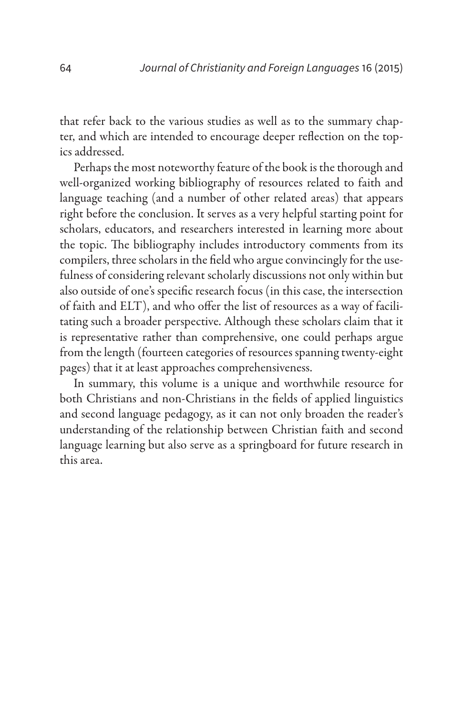that refer back to the various studies as well as to the summary chapter, and which are intended to encourage deeper reflection on the topics addressed.

Perhaps the most noteworthy feature of the book is the thorough and well-organized working bibliography of resources related to faith and language teaching (and a number of other related areas) that appears right before the conclusion. It serves as a very helpful starting point for scholars, educators, and researchers interested in learning more about the topic. The bibliography includes introductory comments from its compilers, three scholars in the field who argue convincingly for the usefulness of considering relevant scholarly discussions not only within but also outside of one's specific research focus (in this case, the intersection of faith and ELT), and who offer the list of resources as a way of facilitating such a broader perspective. Although these scholars claim that it is representative rather than comprehensive, one could perhaps argue from the length (fourteen categories of resources spanning twenty-eight pages) that it at least approaches comprehensiveness.

In summary, this volume is a unique and worthwhile resource for both Christians and non-Christians in the fields of applied linguistics and second language pedagogy, as it can not only broaden the reader's understanding of the relationship between Christian faith and second language learning but also serve as a springboard for future research in this area.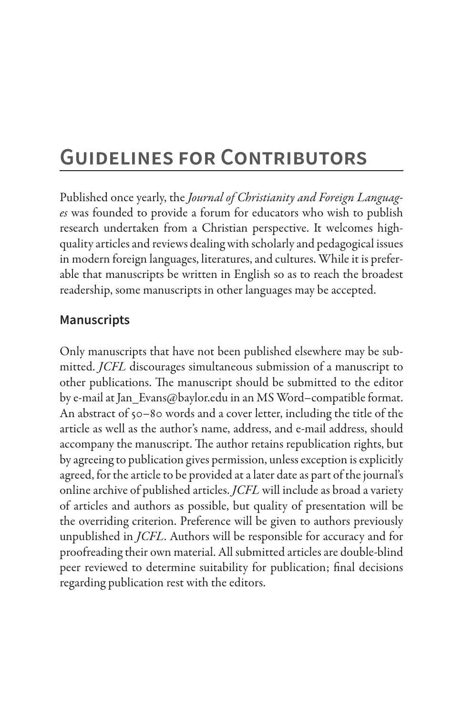# **Guidelines for Contributors**

Published once yearly, the *Journal of Christianity and Foreign Languages* was founded to provide a forum for educators who wish to publish research undertaken from a Christian perspective. It welcomes highquality articles and reviews dealing with scholarly and pedagogical issues in modern foreign languages, literatures, and cultures. While it is preferable that manuscripts be written in English so as to reach the broadest readership, some manuscripts in other languages may be accepted.

### **Manuscripts**

Only manuscripts that have not been published elsewhere may be submitted. *JCFL* discourages simultaneous submission of a manuscript to other publications. The manuscript should be submitted to the editor by e-mail at Jan\_Evans@baylor.edu in an MS Word–compatible format. An abstract of 50–80 words and a cover letter, including the title of the article as well as the author's name, address, and e-mail address, should accompany the manuscript. The author retains republication rights, but by agreeing to publication gives permission, unless exception is explicitly agreed, for the article to be provided at a later date as part of the journal's online archive of published articles. *JCFL* will include as broad a variety of articles and authors as possible, but quality of presentation will be the overriding criterion. Preference will be given to authors previously unpublished in *JCFL*. Authors will be responsible for accuracy and for proofreading their own material. All submitted articles are double-blind peer reviewed to determine suitability for publication; final decisions regarding publication rest with the editors.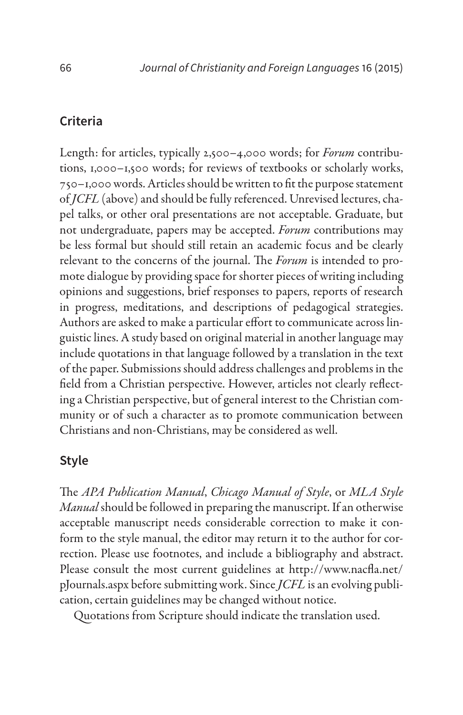#### **Criteria**

Length: for articles, typically 2,500–4,000 words; for *Forum* contributions, 1,000–1,500 words; for reviews of textbooks or scholarly works, 750–1,000 words. Articles should be written to fit the purpose statement of *JCFL* (above) and should be fully referenced. Unrevised lectures, chapel talks, or other oral presentations are not acceptable. Graduate, but not undergraduate, papers may be accepted. *Forum* contributions may be less formal but should still retain an academic focus and be clearly relevant to the concerns of the journal. The *Forum* is intended to promote dialogue by providing space for shorter pieces of writing including opinions and suggestions, brief responses to papers, reports of research in progress, meditations, and descriptions of pedagogical strategies. Authors are asked to make a particular effort to communicate across linguistic lines. A study based on original material in another language may include quotations in that language followed by a translation in the text of the paper. Submissions should address challenges and problems in the field from a Christian perspective. However, articles not clearly reflecting a Christian perspective, but of general interest to the Christian community or of such a character as to promote communication between Christians and non-Christians, may be considered as well.

### **Style**

The *APA Publication Manual*, *Chicago Manual of Style*, or *MLA Style Manual* should be followed in preparing the manuscript. If an otherwise acceptable manuscript needs considerable correction to make it conform to the style manual, the editor may return it to the author for correction. Please use footnotes, and include a bibliography and abstract. Please consult the most current guidelines at http://www.nacfla.net/ pJournals.aspx before submitting work. Since *JCFL* is an evolving publication, certain guidelines may be changed without notice.

Quotations from Scripture should indicate the translation used.